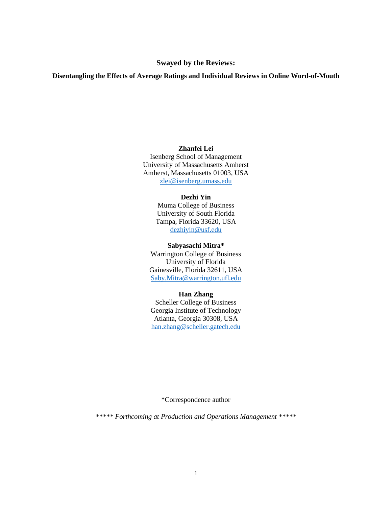## **Swayed by the Reviews:**

## **Disentangling the Effects of Average Ratings and Individual Reviews in Online Word-of-Mouth**

## **Zhanfei Lei**

Isenberg School of Management University of Massachusetts Amherst Amherst, Massachusetts 01003, USA [zlei@isenberg.umass.edu](mailto:zlei@isenberg.umass.edu)

# **Dezhi Yin**

Muma College of Business University of South Florida Tampa, Florida 33620, USA [dezhiyin@usf.edu](mailto:dezhiyin@usf.edu)

#### **Sabyasachi Mitra\***

Warrington College of Business University of Florida Gainesville, Florida 32611, USA [Saby.Mitra@warrington.ufl.edu](mailto:Saby.Mitra@warrington.ufl.edu)

## **Han Zhang**

Scheller College of Business Georgia Institute of Technology Atlanta, Georgia 30308, USA [han.zhang@scheller.gatech.edu](mailto:han.zhang@scheller.gatech.edu)

\*Correspondence author

*\*\*\*\*\* Forthcoming at Production and Operations Management \*\*\*\*\**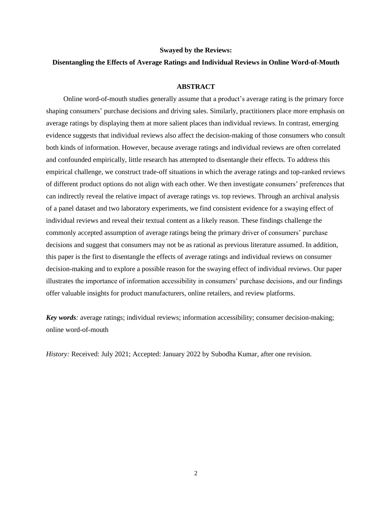#### **Swayed by the Reviews:**

### **Disentangling the Effects of Average Ratings and Individual Reviews in Online Word-of-Mouth**

#### **ABSTRACT**

Online word-of-mouth studies generally assume that a product's average rating is the primary force shaping consumers' purchase decisions and driving sales. Similarly, practitioners place more emphasis on average ratings by displaying them at more salient places than individual reviews. In contrast, emerging evidence suggests that individual reviews also affect the decision-making of those consumers who consult both kinds of information. However, because average ratings and individual reviews are often correlated and confounded empirically, little research has attempted to disentangle their effects. To address this empirical challenge, we construct trade-off situations in which the average ratings and top-ranked reviews of different product options do not align with each other. We then investigate consumers' preferences that can indirectly reveal the relative impact of average ratings vs. top reviews. Through an archival analysis of a panel dataset and two laboratory experiments, we find consistent evidence for a swaying effect of individual reviews and reveal their textual content as a likely reason. These findings challenge the commonly accepted assumption of average ratings being the primary driver of consumers' purchase decisions and suggest that consumers may not be as rational as previous literature assumed. In addition, this paper is the first to disentangle the effects of average ratings and individual reviews on consumer decision-making and to explore a possible reason for the swaying effect of individual reviews. Our paper illustrates the importance of information accessibility in consumers' purchase decisions, and our findings offer valuable insights for product manufacturers, online retailers, and review platforms.

*Key words:* average ratings; individual reviews; information accessibility; consumer decision-making; online word-of-mouth

*History:* Received: July 2021; Accepted: January 2022 by Subodha Kumar, after one revision.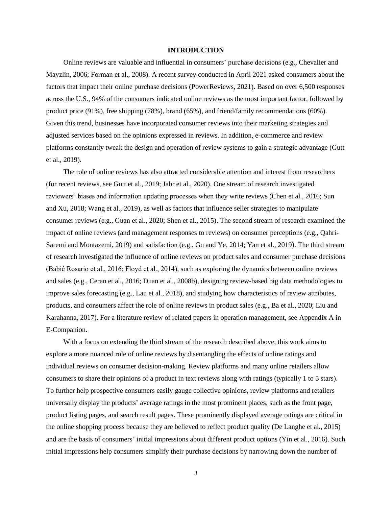#### **INTRODUCTION**

Online reviews are valuable and influential in consumers' purchase decisions (e.g., Chevalier and Mayzlin, 2006; Forman et al., 2008). A recent survey conducted in April 2021 asked consumers about the factors that impact their online purchase decisions (PowerReviews, 2021). Based on over 6,500 responses across the U.S., 94% of the consumers indicated online reviews as the most important factor, followed by product price (91%), free shipping (78%), brand (65%), and friend/family recommendations (60%). Given this trend, businesses have incorporated consumer reviews into their marketing strategies and adjusted services based on the opinions expressed in reviews. In addition, e-commerce and review platforms constantly tweak the design and operation of review systems to gain a strategic advantage (Gutt et al., 2019).

The role of online reviews has also attracted considerable attention and interest from researchers (for recent reviews, see Gutt et al., 2019; Jabr et al., 2020). One stream of research investigated reviewers' biases and information updating processes when they write reviews (Chen et al., 2016; Sun and Xu, 2018; Wang et al., 2019), as well as factors that influence seller strategies to manipulate consumer reviews (e.g., Guan et al., 2020; Shen et al., 2015). The second stream of research examined the impact of online reviews (and management responses to reviews) on consumer perceptions (e.g., Qahri-Saremi and Montazemi, 2019) and satisfaction (e.g., Gu and Ye, 2014; Yan et al., 2019). The third stream of research investigated the influence of online reviews on product sales and consumer purchase decisions (Babić Rosario et al., 2016; Floyd et al., 2014), such as exploring the dynamics between online reviews and sales (e.g., Ceran et al., 2016; Duan et al., 2008b), designing review-based big data methodologies to improve sales forecasting (e.g., Lau et al., 2018), and studying how characteristics of review attributes, products, and consumers affect the role of online reviews in product sales (e.g., Ba et al., 2020; Liu and Karahanna, 2017). For a literature review of related papers in operation management, see Appendix A in E-Companion.

With a focus on extending the third stream of the research described above, this work aims to explore a more nuanced role of online reviews by disentangling the effects of online ratings and individual reviews on consumer decision-making. Review platforms and many online retailers allow consumers to share their opinions of a product in text reviews along with ratings (typically 1 to 5 stars). To further help prospective consumers easily gauge collective opinions, review platforms and retailers universally display the products' average ratings in the most prominent places, such as the front page, product listing pages, and search result pages. These prominently displayed average ratings are critical in the online shopping process because they are believed to reflect product quality (De Langhe et al., 2015) and are the basis of consumers' initial impressions about different product options (Yin et al., 2016). Such initial impressions help consumers simplify their purchase decisions by narrowing down the number of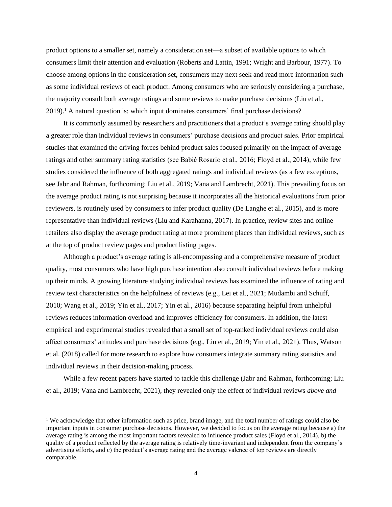product options to a smaller set, namely a consideration set—a subset of available options to which consumers limit their attention and evaluation (Roberts and Lattin, 1991; Wright and Barbour, 1977). To choose among options in the consideration set, consumers may next seek and read more information such as some individual reviews of each product. Among consumers who are seriously considering a purchase, the majority consult both average ratings and some reviews to make purchase decisions (Liu et al., 2019). <sup>1</sup> A natural question is: which input dominates consumers' final purchase decisions?

It is commonly assumed by researchers and practitioners that a product's average rating should play a greater role than individual reviews in consumers' purchase decisions and product sales. Prior empirical studies that examined the driving forces behind product sales focused primarily on the impact of average ratings and other summary rating statistics (see Babić Rosario et al., 2016; Floyd et al., 2014), while few studies considered the influence of both aggregated ratings and individual reviews (as a few exceptions, see Jabr and Rahman, forthcoming; Liu et al., 2019; Vana and Lambrecht, 2021). This prevailing focus on the average product rating is not surprising because it incorporates all the historical evaluations from prior reviewers, is routinely used by consumers to infer product quality (De Langhe et al., 2015), and is more representative than individual reviews (Liu and Karahanna, 2017). In practice, review sites and online retailers also display the average product rating at more prominent places than individual reviews, such as at the top of product review pages and product listing pages.

Although a product's average rating is all-encompassing and a comprehensive measure of product quality, most consumers who have high purchase intention also consult individual reviews before making up their minds. A growing literature studying individual reviews has examined the influence of rating and review text characteristics on the helpfulness of reviews (e.g., Lei et al., 2021; Mudambi and Schuff, 2010; Wang et al., 2019; Yin et al., 2017; Yin et al., 2016) because separating helpful from unhelpful reviews reduces information overload and improves efficiency for consumers. In addition, the latest empirical and experimental studies revealed that a small set of top-ranked individual reviews could also affect consumers' attitudes and purchase decisions (e.g., Liu et al., 2019; Yin et al., 2021). Thus, Watson et al. (2018) called for more research to explore how consumers integrate summary rating statistics and individual reviews in their decision-making process.

While a few recent papers have started to tackle this challenge (Jabr and Rahman, forthcoming; Liu et al., 2019; Vana and Lambrecht, 2021), they revealed only the effect of individual reviews *above and* 

<sup>&</sup>lt;sup>1</sup> We acknowledge that other information such as price, brand image, and the total number of ratings could also be important inputs in consumer purchase decisions. However, we decided to focus on the average rating because a) the average rating is among the most important factors revealed to influence product sales (Floyd et al., 2014), b) the quality of a product reflected by the average rating is relatively time-invariant and independent from the company's advertising efforts, and c) the product's average rating and the average valence of top reviews are directly comparable.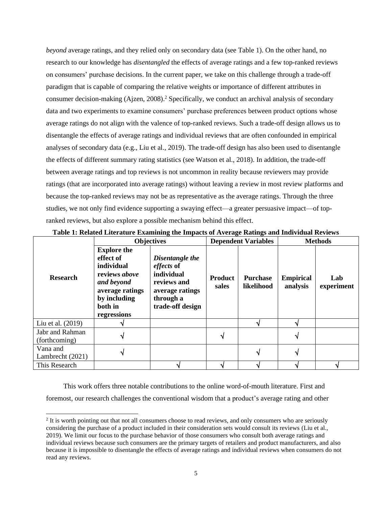*beyond* average ratings, and they relied only on secondary data (see Table 1). On the other hand, no research to our knowledge has *disentangled* the effects of average ratings and a few top-ranked reviews on consumers' purchase decisions. In the current paper, we take on this challenge through a trade-off paradigm that is capable of comparing the relative weights or importance of different attributes in consumer decision-making (Ajzen, 2008). <sup>2</sup> Specifically, we conduct an archival analysis of secondary data and two experiments to examine consumers' purchase preferences between product options whose average ratings do not align with the valence of top-ranked reviews. Such a trade-off design allows us to disentangle the effects of average ratings and individual reviews that are often confounded in empirical analyses of secondary data (e.g., Liu et al., 2019). The trade-off design has also been used to disentangle the effects of different summary rating statistics (see Watson et al., 2018). In addition, the trade-off between average ratings and top reviews is not uncommon in reality because reviewers may provide ratings (that are incorporated into average ratings) without leaving a review in most review platforms and because the top-ranked reviews may not be as representative as the average ratings. Through the three studies, we not only find evidence supporting a swaying effect—a greater persuasive impact—of topranked reviews, but also explore a possible mechanism behind this effect.

|                                  | <b>Objectives</b>                                                                                                                         |                                                                                                                | <b>Dependent Variables</b> | <b>Methods</b>                |                              |                   |
|----------------------------------|-------------------------------------------------------------------------------------------------------------------------------------------|----------------------------------------------------------------------------------------------------------------|----------------------------|-------------------------------|------------------------------|-------------------|
| <b>Research</b>                  | <b>Explore the</b><br>effect of<br>individual<br>reviews above<br>and beyond<br>average ratings<br>by including<br>both in<br>regressions | Disentangle the<br>effects of<br>individual<br>reviews and<br>average ratings<br>through a<br>trade-off design | <b>Product</b><br>sales    | <b>Purchase</b><br>likelihood | <b>Empirical</b><br>analysis | Lab<br>experiment |
| Liu et al. (2019)                |                                                                                                                                           |                                                                                                                |                            |                               |                              |                   |
| Jabr and Rahman<br>(forthcoming) |                                                                                                                                           |                                                                                                                |                            |                               |                              |                   |
| Vana and<br>Lambrecht (2021)     |                                                                                                                                           |                                                                                                                |                            |                               |                              |                   |
| This Research                    |                                                                                                                                           |                                                                                                                |                            |                               |                              |                   |

**Table 1: Related Literature Examining the Impacts of Average Ratings and Individual Reviews**

This work offers three notable contributions to the online word-of-mouth literature. First and foremost, our research challenges the conventional wisdom that a product's average rating and other

<sup>&</sup>lt;sup>2</sup> It is worth pointing out that not all consumers choose to read reviews, and only consumers who are seriously considering the purchase of a product included in their consideration sets would consult its reviews (Liu et al., 2019). We limit our focus to the purchase behavior of those consumers who consult both average ratings and individual reviews because such consumers are the primary targets of retailers and product manufacturers, and also because it is impossible to disentangle the effects of average ratings and individual reviews when consumers do not read any reviews.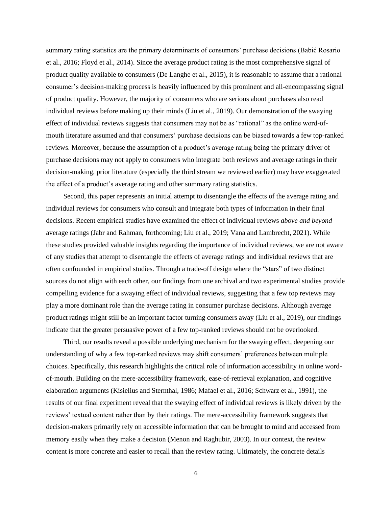summary rating statistics are the primary determinants of consumers' purchase decisions (Babić Rosario et al., 2016; Floyd et al., 2014). Since the average product rating is the most comprehensive signal of product quality available to consumers (De Langhe et al., 2015), it is reasonable to assume that a rational consumer's decision-making process is heavily influenced by this prominent and all-encompassing signal of product quality. However, the majority of consumers who are serious about purchases also read individual reviews before making up their minds (Liu et al., 2019). Our demonstration of the swaying effect of individual reviews suggests that consumers may not be as "rational" as the online word-ofmouth literature assumed and that consumers' purchase decisions can be biased towards a few top-ranked reviews. Moreover, because the assumption of a product's average rating being the primary driver of purchase decisions may not apply to consumers who integrate both reviews and average ratings in their decision-making, prior literature (especially the third stream we reviewed earlier) may have exaggerated the effect of a product's average rating and other summary rating statistics.

Second, this paper represents an initial attempt to disentangle the effects of the average rating and individual reviews for consumers who consult and integrate both types of information in their final decisions. Recent empirical studies have examined the effect of individual reviews *above and beyond* average ratings (Jabr and Rahman, forthcoming; Liu et al., 2019; Vana and Lambrecht, 2021). While these studies provided valuable insights regarding the importance of individual reviews, we are not aware of any studies that attempt to disentangle the effects of average ratings and individual reviews that are often confounded in empirical studies. Through a trade-off design where the "stars" of two distinct sources do not align with each other, our findings from one archival and two experimental studies provide compelling evidence for a swaying effect of individual reviews, suggesting that a few top reviews may play a more dominant role than the average rating in consumer purchase decisions. Although average product ratings might still be an important factor turning consumers away (Liu et al., 2019), our findings indicate that the greater persuasive power of a few top-ranked reviews should not be overlooked.

Third, our results reveal a possible underlying mechanism for the swaying effect, deepening our understanding of why a few top-ranked reviews may shift consumers' preferences between multiple choices. Specifically, this research highlights the critical role of information accessibility in online wordof-mouth. Building on the mere-accessibility framework, ease-of-retrieval explanation, and cognitive elaboration arguments (Kisielius and Sternthal, 1986; Mafael et al., 2016; Schwarz et al., 1991), the results of our final experiment reveal that the swaying effect of individual reviews is likely driven by the reviews' textual content rather than by their ratings. The mere-accessibility framework suggests that decision-makers primarily rely on accessible information that can be brought to mind and accessed from memory easily when they make a decision (Menon and Raghubir, 2003). In our context, the review content is more concrete and easier to recall than the review rating. Ultimately, the concrete details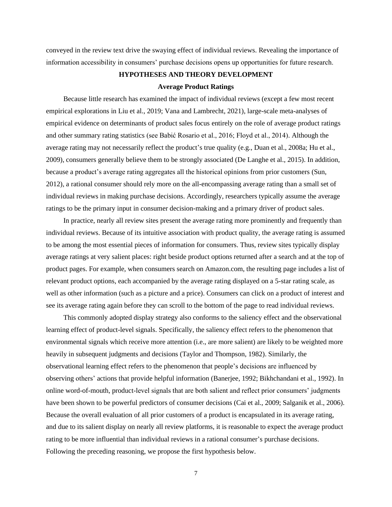conveyed in the review text drive the swaying effect of individual reviews. Revealing the importance of information accessibility in consumers' purchase decisions opens up opportunities for future research.

## **HYPOTHESES AND THEORY DEVELOPMENT**

## **Average Product Ratings**

Because little research has examined the impact of individual reviews (except a few most recent empirical explorations in Liu et al., 2019; Vana and Lambrecht, 2021), large-scale meta-analyses of empirical evidence on determinants of product sales focus entirely on the role of average product ratings and other summary rating statistics (see Babić Rosario et al., 2016; Floyd et al., 2014). Although the average rating may not necessarily reflect the product's true quality (e.g., Duan et al., 2008a; Hu et al., 2009), consumers generally believe them to be strongly associated (De Langhe et al., 2015). In addition, because a product's average rating aggregates all the historical opinions from prior customers (Sun, 2012), a rational consumer should rely more on the all-encompassing average rating than a small set of individual reviews in making purchase decisions. Accordingly, researchers typically assume the average ratings to be the primary input in consumer decision-making and a primary driver of product sales.

In practice, nearly all review sites present the average rating more prominently and frequently than individual reviews. Because of its intuitive association with product quality, the average rating is assumed to be among the most essential pieces of information for consumers. Thus, review sites typically display average ratings at very salient places: right beside product options returned after a search and at the top of product pages. For example, when consumers search on Amazon.com, the resulting page includes a list of relevant product options, each accompanied by the average rating displayed on a 5-star rating scale, as well as other information (such as a picture and a price). Consumers can click on a product of interest and see its average rating again before they can scroll to the bottom of the page to read individual reviews.

This commonly adopted display strategy also conforms to the saliency effect and the observational learning effect of product-level signals. Specifically, the saliency effect refers to the phenomenon that environmental signals which receive more attention (i.e., are more salient) are likely to be weighted more heavily in subsequent judgments and decisions (Taylor and Thompson, 1982). Similarly, the observational learning effect refers to the phenomenon that people's decisions are influenced by observing others' actions that provide helpful information (Banerjee, 1992; Bikhchandani et al., 1992). In online word-of-mouth, product-level signals that are both salient and reflect prior consumers' judgments have been shown to be powerful predictors of consumer decisions (Cai et al., 2009; Salganik et al., 2006). Because the overall evaluation of all prior customers of a product is encapsulated in its average rating, and due to its salient display on nearly all review platforms, it is reasonable to expect the average product rating to be more influential than individual reviews in a rational consumer's purchase decisions. Following the preceding reasoning, we propose the first hypothesis below.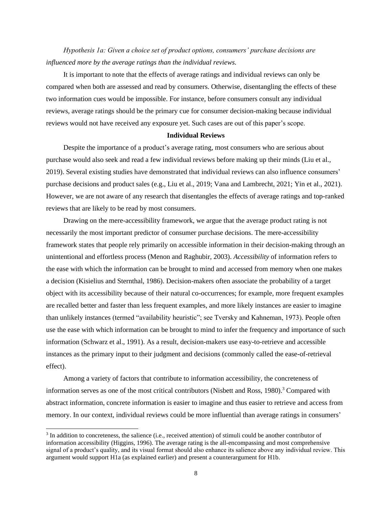*Hypothesis 1a: Given a choice set of product options, consumers' purchase decisions are influenced more by the average ratings than the individual reviews.*

It is important to note that the effects of average ratings and individual reviews can only be compared when both are assessed and read by consumers. Otherwise, disentangling the effects of these two information cues would be impossible. For instance, before consumers consult any individual reviews, average ratings should be the primary cue for consumer decision-making because individual reviews would not have received any exposure yet. Such cases are out of this paper's scope.

#### **Individual Reviews**

Despite the importance of a product's average rating, most consumers who are serious about purchase would also seek and read a few individual reviews before making up their minds (Liu et al., 2019). Several existing studies have demonstrated that individual reviews can also influence consumers' purchase decisions and product sales (e.g., Liu et al., 2019; Vana and Lambrecht, 2021; Yin et al., 2021). However, we are not aware of any research that disentangles the effects of average ratings and top-ranked reviews that are likely to be read by most consumers.

Drawing on the mere-accessibility framework, we argue that the average product rating is not necessarily the most important predictor of consumer purchase decisions. The mere-accessibility framework states that people rely primarily on accessible information in their decision-making through an unintentional and effortless process (Menon and Raghubir, 2003). *Accessibility* of information refers to the ease with which the information can be brought to mind and accessed from memory when one makes a decision (Kisielius and Sternthal, 1986). Decision-makers often associate the probability of a target object with its accessibility because of their natural co-occurrences; for example, more frequent examples are recalled better and faster than less frequent examples, and more likely instances are easier to imagine than unlikely instances (termed "availability heuristic"; see Tversky and Kahneman, 1973). People often use the ease with which information can be brought to mind to infer the frequency and importance of such information (Schwarz et al., 1991). As a result, decision-makers use easy-to-retrieve and accessible instances as the primary input to their judgment and decisions (commonly called the ease-of-retrieval effect).

Among a variety of factors that contribute to information accessibility, the concreteness of information serves as one of the most critical contributors (Nisbett and Ross, 1980). <sup>3</sup> Compared with abstract information, concrete information is easier to imagine and thus easier to retrieve and access from memory. In our context, individual reviews could be more influential than average ratings in consumers'

<sup>&</sup>lt;sup>3</sup> In addition to concreteness, the salience (i.e., received attention) of stimuli could be another contributor of information accessibility (Higgins, 1996). The average rating is the all-encompassing and most comprehensive signal of a product's quality, and its visual format should also enhance its salience above any individual review. This argument would support H1a (as explained earlier) and present a counterargument for H1b.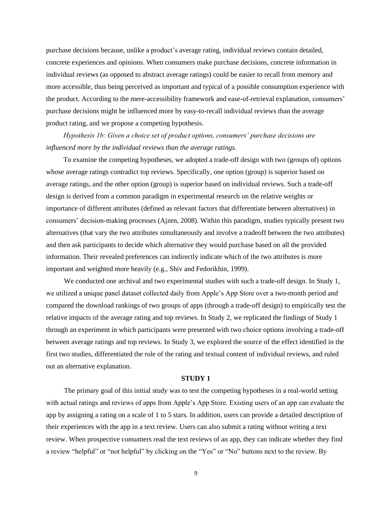purchase decisions because, unlike a product's average rating, individual reviews contain detailed, concrete experiences and opinions. When consumers make purchase decisions, concrete information in individual reviews (as opposed to abstract average ratings) could be easier to recall from memory and more accessible, thus being perceived as important and typical of a possible consumption experience with the product. According to the mere-accessibility framework and ease-of-retrieval explanation, consumers' purchase decisions might be influenced more by easy-to-recall individual reviews than the average product rating, and we propose a competing hypothesis.

*Hypothesis 1b: Given a choice set of product options, consumers' purchase decisions are influenced more by the individual reviews than the average ratings.*

To examine the competing hypotheses, we adopted a trade-off design with two (groups of) options whose average ratings contradict top reviews. Specifically, one option (group) is superior based on average ratings, and the other option (group) is superior based on individual reviews. Such a trade-off design is derived from a common paradigm in experimental research on the relative weights or importance of different attributes (defined as relevant factors that differentiate between alternatives) in consumers' decision-making processes (Ajzen, 2008). Within this paradigm, studies typically present two alternatives (that vary the two attributes simultaneously and involve a tradeoff between the two attributes) and then ask participants to decide which alternative they would purchase based on all the provided information. Their revealed preferences can indirectly indicate which of the two attributes is more important and weighted more heavily (e.g., Shiv and Fedorikhin, 1999).

We conducted one archival and two experimental studies with such a trade-off design. In Study 1, we utilized a unique panel dataset collected daily from Apple's App Store over a two-month period and compared the download rankings of two groups of apps (through a trade-off design) to empirically test the relative impacts of the average rating and top reviews. In Study 2, we replicated the findings of Study 1 through an experiment in which participants were presented with two choice options involving a trade-off between average ratings and top reviews. In Study 3, we explored the source of the effect identified in the first two studies, differentiated the role of the rating and textual content of individual reviews, and ruled out an alternative explanation.

#### **STUDY 1**

The primary goal of this initial study was to test the competing hypotheses in a real-world setting with actual ratings and reviews of apps from Apple's App Store. Existing users of an app can evaluate the app by assigning a rating on a scale of 1 to 5 stars. In addition, users can provide a detailed description of their experiences with the app in a text review. Users can also submit a rating without writing a text review. When prospective consumers read the text reviews of an app, they can indicate whether they find a review "helpful" or "not helpful" by clicking on the "Yes" or "No" buttons next to the review. By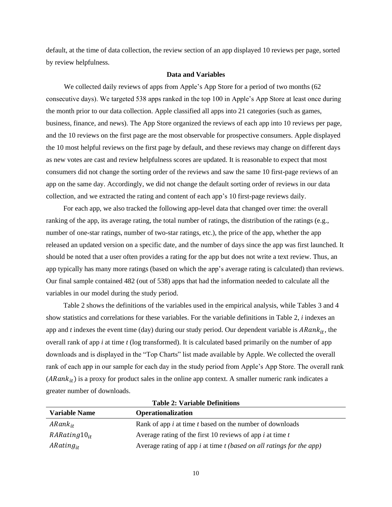default, at the time of data collection, the review section of an app displayed 10 reviews per page, sorted by review helpfulness.

## **Data and Variables**

We collected daily reviews of apps from Apple's App Store for a period of two months (62 consecutive days). We targeted 538 apps ranked in the top 100 in Apple's App Store at least once during the month prior to our data collection. Apple classified all apps into 21 categories (such as games, business, finance, and news). The App Store organized the reviews of each app into 10 reviews per page, and the 10 reviews on the first page are the most observable for prospective consumers. Apple displayed the 10 most helpful reviews on the first page by default, and these reviews may change on different days as new votes are cast and review helpfulness scores are updated. It is reasonable to expect that most consumers did not change the sorting order of the reviews and saw the same 10 first-page reviews of an app on the same day. Accordingly, we did not change the default sorting order of reviews in our data collection, and we extracted the rating and content of each app's 10 first-page reviews daily.

For each app, we also tracked the following app-level data that changed over time: the overall ranking of the app, its average rating, the total number of ratings, the distribution of the ratings (e.g., number of one-star ratings, number of two-star ratings, etc.), the price of the app, whether the app released an updated version on a specific date, and the number of days since the app was first launched. It should be noted that a user often provides a rating for the app but does not write a text review. Thus, an app typically has many more ratings (based on which the app's average rating is calculated) than reviews. Our final sample contained 482 (out of 538) apps that had the information needed to calculate all the variables in our model during the study period.

Table 2 shows the definitions of the variables used in the empirical analysis, while Tables 3 and 4 show statistics and correlations for these variables. For the variable definitions in Table 2, *i* indexes an app and  $t$  indexes the event time (day) during our study period. Our dependent variable is  $ARank_{it}$ , the overall rank of app *i* at time *t* (log transformed). It is calculated based primarily on the number of app downloads and is displayed in the "Top Charts" list made available by Apple. We collected the overall rank of each app in our sample for each day in the study period from Apple's App Store. The overall rank  $(ARank<sub>it</sub>)$  is a proxy for product sales in the online app context. A smaller numeric rank indicates a greater number of downloads.

| <b>Variable Name</b> | <b>Operationalization</b>                                                |
|----------------------|--------------------------------------------------------------------------|
| $ARank_{it}$         | Rank of app <i>i</i> at time <i>t</i> based on the number of downloads   |
| $RARating 10_{it}$   | Average rating of the first 10 reviews of app $i$ at time $t$            |
| $ARating_{it}$       | Average rating of app $i$ at time $t$ (based on all ratings for the app) |

**Table 2: Variable Definitions**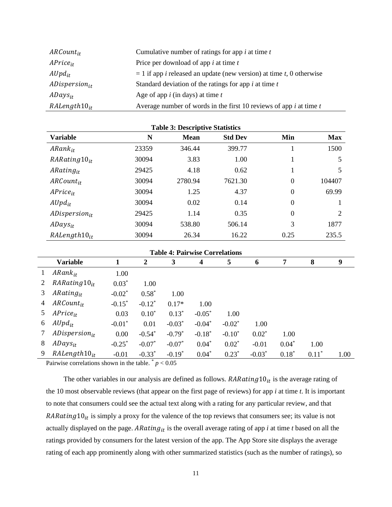| $ARCount_{it}$     | Cumulative number of ratings for app $i$ at time $t$                                  |
|--------------------|---------------------------------------------------------------------------------------|
| $APrice_{it}$      | Price per download of app $i$ at time $t$                                             |
| $Alpd_{it}$        | $= 1$ if app <i>i</i> released an update (new version) at time <i>t</i> , 0 otherwise |
| $ADispersion_{it}$ | Standard deviation of the ratings for app $i$ at time $t$                             |
| $ADays_{it}$       | Age of app $i$ (in days) at time $t$                                                  |
| $RAlength10_{it}$  | Average number of words in the first 10 reviews of app $i$ at time $t$                |

| <b>Table 3: Descriptive Statistics</b> |       |             |                |          |            |  |
|----------------------------------------|-------|-------------|----------------|----------|------------|--|
| <b>Variable</b>                        | N     | <b>Mean</b> | <b>Std Dev</b> | Min      | <b>Max</b> |  |
| $ARank_{it}$                           | 23359 | 346.44      | 399.77         |          | 1500       |  |
| $RARating 10_{it}$                     | 30094 | 3.83        | 1.00           |          | 5          |  |
| $ARating_{it}$                         | 29425 | 4.18        | 0.62           |          | 5          |  |
| $ARCount_{it}$                         | 30094 | 2780.94     | 7621.30        | $\theta$ | 104407     |  |
| $APrice_{it}$                          | 30094 | 1.25        | 4.37           | $\theta$ | 69.99      |  |
| $Alpd_{it}$                            | 30094 | 0.02        | 0.14           | $\theta$ |            |  |
| $ADispersion_{it}$                     | 29425 | 1.14        | 0.35           | $\theta$ | 2          |  |
| $ADays_{it}$                           | 30094 | 538.80      | 506.14         | 3        | 1877       |  |
| $RAlength10_{it}$                      | 30094 | 26.34       | 16.22          | 0.25     | 235.5      |  |

|   | <b>Table 4: Pairwise Correlations</b> |           |                      |           |          |           |          |         |         |      |
|---|---------------------------------------|-----------|----------------------|-----------|----------|-----------|----------|---------|---------|------|
|   | <b>Variable</b>                       | 1         | 2                    | 3         | 4        | 5         | 6        | 7       | 8       | 9    |
|   | $ARank_{it}$                          | 1.00      |                      |           |          |           |          |         |         |      |
|   | $RARating10_{it}$                     | $0.03*$   | 1.00                 |           |          |           |          |         |         |      |
| 3 | $ARating_{it}$                        | $-0.02*$  | $0.58*$              | 1.00      |          |           |          |         |         |      |
| 4 | $ARCount_{it}$                        | $-0.15*$  | $-0.12^*$            | $0.17*$   | 1.00     |           |          |         |         |      |
| 5 | $APrice_{it}$                         | 0.03      | $0.10*$              | $0.13*$   | $-0.05*$ | 1.00      |          |         |         |      |
| 6 | $Alpd_{it}$                           | $-0.01*$  | 0.01                 | $-0.03^*$ | $-0.04*$ | $-0.02^*$ | 1.00     |         |         |      |
|   | $ADispersion_{it}$                    | 0.00      | $-0.54$ <sup>*</sup> | $-0.79*$  | $-0.18*$ | $-0.10*$  | $0.02*$  | 1.00    |         |      |
| 8 | $ADays_{it}$                          | $-0.25$ * | $-0.07*$             | $-0.07*$  | $0.04*$  | $0.02*$   | $-0.01$  | $0.04*$ | 1.00    |      |
| 9 | $RAlength 10_{it}$                    | $-0.01$   | $-0.33*$             | $-0.19*$  | $0.04*$  | $0.23*$   | $-0.03*$ | $0.18*$ | $0.11*$ | 1.00 |

Pairwise correlations shown in the table.  $p < 0.05$ 

The other variables in our analysis are defined as follows.  $RRRating 10<sub>it</sub>$  is the average rating of the 10 most observable reviews (that appear on the first page of reviews) for app *i* at time *t*. It is important to note that consumers could see the actual text along with a rating for any particular review, and that RARating  $10_{it}$  is simply a proxy for the valence of the top reviews that consumers see; its value is not actually displayed on the page.  $ARating_{it}$  is the overall average rating of app *i* at time *t* based on all the ratings provided by consumers for the latest version of the app. The App Store site displays the average rating of each app prominently along with other summarized statistics (such as the number of ratings), so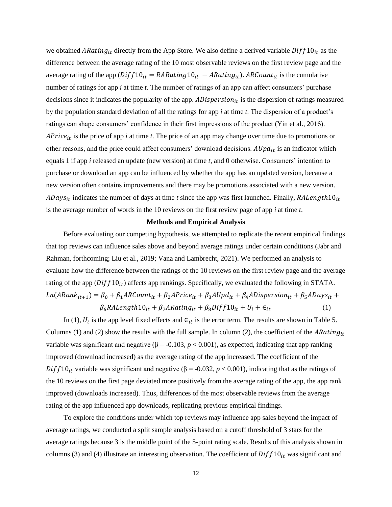we obtained ARating<sub>it</sub> directly from the App Store. We also define a derived variable  $Diff10_{it}$  as the difference between the average rating of the 10 most observable reviews on the first review page and the average rating of the app  $(Diff10_{it} = RARating10_{it} - ARating_{it})$ . ARCount<sub>it</sub> is the cumulative number of ratings for app *i* at time *t*. The number of ratings of an app can affect consumers' purchase decisions since it indicates the popularity of the app.  $ADispersion_{it}$  is the dispersion of ratings measured by the population standard deviation of all the ratings for app *i* at time *t*. The dispersion of a product's ratings can shape consumers' confidence in their first impressions of the product (Yin et al., 2016).  $\Delta Price_{it}$  is the price of app *i* at time *t*. The price of an app may change over time due to promotions or other reasons, and the price could affect consumers' download decisions.  $AUpd_{it}$  is an indicator which equals 1 if app *i* released an update (new version) at time *t*, and 0 otherwise. Consumers' intention to purchase or download an app can be influenced by whether the app has an updated version, because a new version often contains improvements and there may be promotions associated with a new version.  $A$ Days<sub>it</sub> indicates the number of days at time *t* since the app was first launched. Finally,  $R A Length10<sub>it</sub>$ is the average number of words in the 10 reviews on the first review page of app *i* at time *t*.

## **Methods and Empirical Analysis**

Before evaluating our competing hypothesis, we attempted to replicate the recent empirical findings that top reviews can influence sales above and beyond average ratings under certain conditions (Jabr and Rahman, forthcoming; Liu et al., 2019; Vana and Lambrecht, 2021). We performed an analysis to evaluate how the difference between the ratings of the 10 reviews on the first review page and the average rating of the app  $(Diff10_{it})$  affects app rankings. Specifically, we evaluated the following in STATA.  $Ln(ARank_{it+1}) = \beta_0 + \beta_1 ARCount_{it} + \beta_2 A Price_{it} + \beta_3 A Upd_{it} + \beta_4 AD is \textit{persion}_{it} + \beta_5 ADays_{it} +$  $\beta_6 R Alength 10_{it} + \beta_7 ARating_{it} + \beta_8 Diff 10_{it} + U_i + \epsilon_{it}$  (1)

In (1),  $U_i$  is the app level fixed effects and  $\epsilon_{it}$  is the error term. The results are shown in Table 5. Columns (1) and (2) show the results with the full sample. In column (2), the coefficient of the ARating<sub>it</sub> variable was significant and negative ( $β = -0.103, p < 0.001$ ), as expected, indicating that app ranking improved (download increased) as the average rating of the app increased. The coefficient of the  $Diff10_{it}$  variable was significant and negative ( $\beta$  = -0.032, *p* < 0.001), indicating that as the ratings of the 10 reviews on the first page deviated more positively from the average rating of the app, the app rank improved (downloads increased). Thus, differences of the most observable reviews from the average rating of the app influenced app downloads, replicating previous empirical findings.

To explore the conditions under which top reviews may influence app sales beyond the impact of average ratings, we conducted a split sample analysis based on a cutoff threshold of 3 stars for the average ratings because 3 is the middle point of the 5-point rating scale. Results of this analysis shown in columns (3) and (4) illustrate an interesting observation. The coefficient of  $Diff10_{it}$  was significant and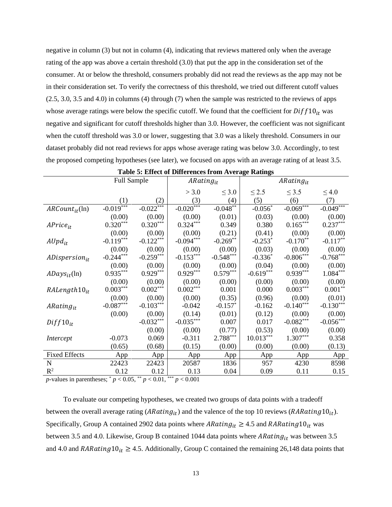negative in column (3) but not in column (4), indicating that reviews mattered only when the average rating of the app was above a certain threshold (3.0) that put the app in the consideration set of the consumer. At or below the threshold, consumers probably did not read the reviews as the app may not be in their consideration set. To verify the correctness of this threshold, we tried out different cutoff values  $(2.5, 3.0, 3.5, 4.0)$  in columns  $(4)$  through  $(7)$  when the sample was restricted to the reviews of apps whose average ratings were below the specific cutoff. We found that the coefficient for  $Diff10_{it}$  was negative and significant for cutoff thresholds higher than 3.0. However, the coefficient was not significant when the cutoff threshold was 3.0 or lower, suggesting that 3.0 was a likely threshold. Consumers in our dataset probably did not read reviews for apps whose average rating was below 3.0. Accordingly, to test the proposed competing hypotheses (see later), we focused on apps with an average rating of at least 3.5.

|                      | <b>Full Sample</b>               |                        | $ARating_{it}$ |             | $ARating_{it}$ |                        |             |
|----------------------|----------------------------------|------------------------|----------------|-------------|----------------|------------------------|-------------|
|                      |                                  |                        | > 3.0          | $\leq 3.0$  | $\leq$ 2.5     | $\leq$ 3.5             | $\leq 4.0$  |
|                      | (1)                              | (2)                    | (3)            | (4)         | (5)            | (6)                    | (7)         |
| $ARCount_{it}$ (ln)  | $-0.019***$                      | $-0.022***$            | $-0.020***$    | $-0.048**$  | $-0.056*$      | $-0.069***$            | $-0.049***$ |
|                      | (0.00)                           | (0.00)                 | (0.00)         | (0.01)      | (0.03)         | (0.00)                 | (0.00)      |
| $APrice_{it}$        | $0.320^{\ast\ast\ast}$           | $0.320***$             | $0.324***$     | 0.349       | 0.380          | $0.165^{\ast\ast\ast}$ | $0.237***$  |
|                      | (0.00)                           | (0.00)                 | (0.00)         | (0.21)      | (0.41)         | (0.00)                 | (0.00)      |
| $Alpd_{it}$          | $-0.119***$                      | $-0.122***$            | $-0.094***$    | $-0.269**$  | $-0.253*$      | $-0.170**$             | $-0.117**$  |
|                      | (0.00)                           | (0.00)                 | (0.00)         | (0.00)      | (0.03)         | (0.00)                 | (0.00)      |
| $ADispersion_{it}$   | $-0.244***$                      | $-0.259***$            | $-0.153***$    | $-0.548***$ | $-0.336*$      | $-0.806***$            | $-0.768***$ |
|                      | (0.00)                           | (0.00)                 | (0.00)         | (0.00)      | (0.04)         | (0.00)                 | (0.00)      |
| $ADays_{it}$ (ln)    | $0.935***$                       | $0.929***$             | $0.929***$     | $0.579***$  | $-0.619***$    | $0.939***$             | $1.084***$  |
|                      | (0.00)                           | (0.00)                 | (0.00)         | (0.00)      | (0.00)         | (0.00)                 | (0.00)      |
| $RALength10_{it}$    | $0.003^{***}$                    | $0.002^{\ast\ast\ast}$ | $0.002***$     | 0.001       | 0.000          | $0.003^{***}$          | $0.001**$   |
|                      | (0.00)                           | (0.00)                 | (0.00)         | (0.35)      | (0.96)         | (0.00)                 | (0.01)      |
| $ARating_{it}$       | $\textbf{-0.087}^{\ast\ast\ast}$ | $-0.103***$            | $-0.042$       | $-0.157*$   | $-0.162$       | $-0.140***$            | $-0.130***$ |
|                      | (0.00)                           | (0.00)                 | (0.14)         | (0.01)      | (0.12)         | (0.00)                 | (0.00)      |
| $Diff10_{it}$        |                                  | $-0.032***$            | $-0.035***$    | 0.007       | 0.017          | $-0.082***$            | $-0.056***$ |
|                      |                                  | (0.00)                 | (0.00)         | (0.77)      | (0.53)         | (0.00)                 | (0.00)      |
| Intercept            | $-0.073$                         | 0.069                  | $-0.311$       | $2.788***$  | $10.013***$    | $1.307***$             | 0.358       |
|                      | (0.65)                           | (0.68)                 | (0.15)         | (0.00)      | (0.00)         | (0.00)                 | (0.13)      |
| <b>Fixed Effects</b> | App                              | App                    | App            | App         | App            | App                    | App         |
| ${\bf N}$            | 22423                            | 22423                  | 20587          | 1836        | 957            | 4230                   | 8598        |
| $R^2$                | 0.12<br>$\sim$ $\sim$ $\sim$ **  | 0.12                   | 0.13<br>未来来    | 0.04        | 0.09           | 0.11                   | 0.15        |

|  |  | <b>Table 5: Effect of Differences from Average Ratings</b> |  |  |  |
|--|--|------------------------------------------------------------|--|--|--|
|--|--|------------------------------------------------------------|--|--|--|

*p*-values in parentheses; \* *p* < 0.05, \*\* *p* < 0.01, \*\*\* *p* < 0.001

To evaluate our competing hypotheses, we created two groups of data points with a tradeoff between the overall average rating ( $ARating_{it}$ ) and the valence of the top 10 reviews ( $RARating10_{it}$ ). Specifically, Group A contained 2902 data points where ARating<sub>it</sub>  $\geq$  4.5 and RARating 10<sub>it</sub> was between 3.5 and 4.0. Likewise, Group B contained 1044 data points where  $ARating_{it}$  was between 3.5 and 4.0 and RARating  $10_{it} \ge 4.5$ . Additionally, Group C contained the remaining 26,148 data points that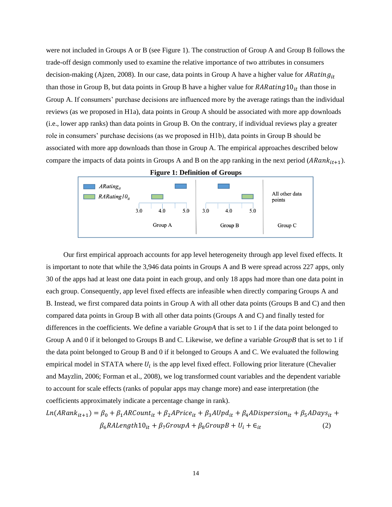were not included in Groups A or B (see Figure 1). The construction of Group A and Group B follows the trade-off design commonly used to examine the relative importance of two attributes in consumers decision-making (Ajzen, 2008). In our case, data points in Group A have a higher value for ARating<sub>it</sub> than those in Group B, but data points in Group B have a higher value for  $RARating 10_{it}$  than those in Group A. If consumers' purchase decisions are influenced more by the average ratings than the individual reviews (as we proposed in H1a), data points in Group A should be associated with more app downloads (i.e., lower app ranks) than data points in Group B. On the contrary, if individual reviews play a greater role in consumers' purchase decisions (as we proposed in H1b), data points in Group B should be associated with more app downloads than those in Group A. The empirical approaches described below compare the impacts of data points in Groups A and B on the app ranking in the next period  $(ARank_{it+1})$ .



Our first empirical approach accounts for app level heterogeneity through app level fixed effects. It is important to note that while the 3,946 data points in Groups A and B were spread across 227 apps, only 30 of the apps had at least one data point in each group, and only 18 apps had more than one data point in each group. Consequently, app level fixed effects are infeasible when directly comparing Groups A and B. Instead, we first compared data points in Group A with all other data points (Groups B and C) and then compared data points in Group B with all other data points (Groups A and C) and finally tested for differences in the coefficients. We define a variable *GroupA* that is set to 1 if the data point belonged to Group A and 0 if it belonged to Groups B and C. Likewise, we define a variable *GroupB* that is set to 1 if the data point belonged to Group B and 0 if it belonged to Groups A and C. We evaluated the following empirical model in STATA where  $U_i$  is the app level fixed effect. Following prior literature (Chevalier and Mayzlin, 2006; Forman et al., 2008), we log transformed count variables and the dependent variable to account for scale effects (ranks of popular apps may change more) and ease interpretation (the coefficients approximately indicate a percentage change in rank).

$$
Ln(ARank_{it+1}) = \beta_0 + \beta_1 ARCount_{it} + \beta_2 APrice_{it} + \beta_3 AUpd_{it} + \beta_4 AD is \text{persion}_{it} + \beta_5 ADays_{it} + \beta_6 RALength10_{it} + \beta_7 GroupA + \beta_8 GroupB + U_i + \epsilon_{it}
$$
\n(2)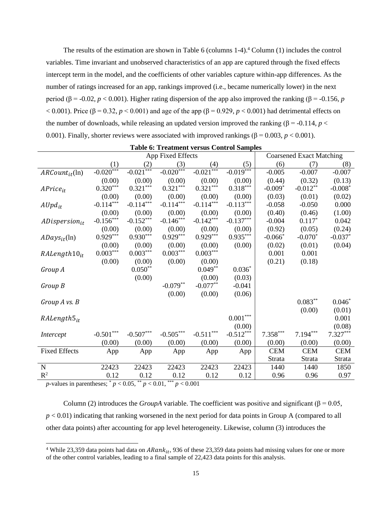The results of the estimation are shown in Table 6 (columns 1-4).<sup>4</sup> Column (1) includes the control variables. Time invariant and unobserved characteristics of an app are captured through the fixed effects intercept term in the model, and the coefficients of other variables capture within-app differences. As the number of ratings increased for an app, rankings improved (i.e., became numerically lower) in the next period (β = -0.02, *p* < 0.001). Higher rating dispersion of the app also improved the ranking (β = -0.156, *p*  $< 0.001$ ). Price ( $\beta = 0.32$ ,  $p < 0.001$ ) and age of the app ( $\beta = 0.929$ ,  $p < 0.001$ ) had detrimental effects on the number of downloads, while releasing an updated version improved the ranking ( $\beta$  = -0.114, *p* < 0.001). Finally, shorter reviews were associated with improved rankings ( $\beta$  = 0.003, *p* < 0.001).

|                      | App Fixed Effects                |                 |                 |                 |                        | <b>Coarsened Exact Matching</b> |            |            |
|----------------------|----------------------------------|-----------------|-----------------|-----------------|------------------------|---------------------------------|------------|------------|
|                      | (1)                              | (2)             | (3)             | (4)             | (5)                    | (6)                             | (7)        | (8)        |
| $ARCount_{it}$ (ln)  | $-0.020***$                      | $-0.021***$     | $-0.020***$     | $-0.021***$     | $-0.019$ ***           | $-0.005$                        | $-0.007$   | $-0.007$   |
|                      | (0.00)                           | (0.00)          | (0.00)          | (0.00)          | (0.00)                 | (0.44)                          | (0.32)     | (0.13)     |
| $APrice_{it}$        | $0.320***$                       | $0.321***$      | $0.321***$      | $0.321***$      | $0.318***$             | $-0.009*$                       | $-0.012**$ | $-0.008*$  |
|                      | (0.00)                           | (0.00)          | (0.00)          | (0.00)          | (0.00)                 | (0.03)                          | (0.01)     | (0.02)     |
| $Alpd_{it}$          | $-0.114***$                      | $-0.114***$     | $-0.114***$     | $-0.114***$     | $-0.113***$            | $-0.058$                        | $-0.050$   | 0.000      |
|                      | (0.00)                           | (0.00)          | (0.00)          | (0.00)          | (0.00)                 | (0.40)                          | (0.46)     | (1.00)     |
| $ADispersion_{it}$   | $-0.156***$                      | $-0.152***$     | $-0.146***$     | $-0.142***$     | $-0.137***$            | $-0.004$                        | $0.117*$   | 0.042      |
|                      | (0.00)                           | (0.00)          | (0.00)          | (0.00)          | (0.00)                 | (0.92)                          | (0.05)     | (0.24)     |
| $ADays_{it}$ (ln)    | $0.929***$                       | $0.930***$      | $0.929***$      | $0.929***$      | $0.935***$             | $-0.066*$                       | $-0.070*$  | $-0.037*$  |
|                      | (0.00)                           | (0.00)          | (0.00)          | (0.00)          | (0.00)                 | (0.02)                          | (0.01)     | (0.04)     |
| $RALength10_{it}$    | $0.003***$                       | $0.003^{***}\,$ | $0.003^{***}\,$ | $0.003^{***}\,$ |                        | 0.001                           | 0.001      |            |
|                      | (0.00)                           | (0.00)          | (0.00)          | (0.00)          |                        | (0.21)                          | (0.18)     |            |
| Group A              |                                  | $0.050**$       |                 | $0.049**$       | $0.036*$               |                                 |            |            |
|                      |                                  | (0.00)          |                 | (0.00)          | (0.03)                 |                                 |            |            |
| Group B              |                                  |                 | $-0.079**$      | $-0.077**$      | $-0.041$               |                                 |            |            |
|                      |                                  |                 | (0.00)          | (0.00)          | (0.06)                 |                                 |            |            |
| Group A vs. B        |                                  |                 |                 |                 |                        |                                 | $0.083**$  | $0.046*$   |
|                      |                                  |                 |                 |                 |                        |                                 | (0.00)     | (0.01)     |
| $RAlength5_{it}$     |                                  |                 |                 |                 | $0.001^{\ast\ast\ast}$ |                                 |            | 0.001      |
|                      |                                  |                 |                 |                 | (0.00)                 |                                 |            | (0.08)     |
| Intercept            | $\textbf{-0.501}^{\ast\ast\ast}$ | $-0.507***$     | $-0.505***$     | $-0.511***$     | $-0.512***$            | $7.358***$                      | $7.194***$ | $7.327***$ |
|                      | (0.00)                           | (0.00)          | (0.00)          | (0.00)          | (0.00)                 | (0.00)                          | (0.00)     | (0.00)     |
| <b>Fixed Effects</b> | App                              | App             | App             | App             | App                    | <b>CEM</b>                      | <b>CEM</b> | <b>CEM</b> |
|                      |                                  |                 |                 |                 |                        | Strata                          | Strata     | Strata     |
| $\mathbf N$          | 22423                            | 22423           | 22423           | 22423           | 22423                  | 1440                            | 1440       | 1850       |
| $\mathbb{R}^2$       | 0.12                             | 0.12<br>$**$    | 0.12<br>***     | 0.12            | 0.12                   | 0.96                            | 0.96       | 0.97       |

**Table 6: Treatment versus Control Samples**

*p*-values in parentheses;  $p < 0.05$ ,  $p < 0.01$ ,  $p < 0.001$ 

Column (2) introduces the *GroupA* variable. The coefficient was positive and significant ( $\beta$  = 0.05, *p* < 0.01) indicating that ranking worsened in the next period for data points in Group A (compared to all other data points) after accounting for app level heterogeneity. Likewise, column (3) introduces the

<sup>&</sup>lt;sup>4</sup> While 23,359 data points had data on  $ARank_{it}$ , 936 of these 23,359 data points had missing values for one or more of the other control variables, leading to a final sample of 22,423 data points for this analysis.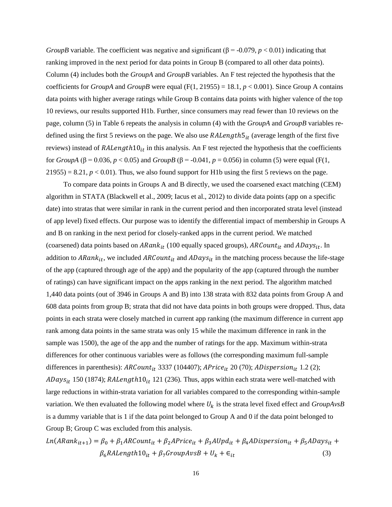*GroupB* variable. The coefficient was negative and significant ( $\beta$  = -0.079, *p* < 0.01) indicating that ranking improved in the next period for data points in Group B (compared to all other data points). Column (4) includes both the *GroupA* and *GroupB* variables. An F test rejected the hypothesis that the coefficients for *GroupA* and *GroupB* were equal  $(F(1, 21955) = 18.1, p < 0.001)$ . Since Group A contains data points with higher average ratings while Group B contains data points with higher valence of the top 10 reviews, our results supported H1b. Further, since consumers may read fewer than 10 reviews on the page, column (5) in Table 6 repeats the analysis in column (4) with the *GroupA* and *GroupB* variables redefined using the first 5 reviews on the page. We also use  $RALength5<sub>it</sub>$  (average length of the first five reviews) instead of  $RALength10<sub>it</sub>$  in this analysis. An F test rejected the hypothesis that the coefficients for *GroupA* (β = 0.036, *p* < 0.05) and *GroupB* (β = -0.041, *p* = 0.056) in column (5) were equal (F(1,  $21955$ ) = 8.21,  $p < 0.01$ ). Thus, we also found support for H1b using the first 5 reviews on the page.

To compare data points in Groups A and B directly, we used the coarsened exact matching (CEM) algorithm in STATA (Blackwell et al., 2009; Iacus et al., 2012) to divide data points (app on a specific date) into stratas that were similar in rank in the current period and then incorporated strata level (instead of app level) fixed effects. Our purpose was to identify the differential impact of membership in Groups A and B on ranking in the next period for closely-ranked apps in the current period. We matched (coarsened) data points based on  $ARank_{it}$  (100 equally spaced groups),  $ARCount_{it}$  and  $ADays_{it}$ . In addition to  $ARank_{it}$ , we included  $ARCount_{it}$  and  $ADays_{it}$  in the matching process because the life-stage of the app (captured through age of the app) and the popularity of the app (captured through the number of ratings) can have significant impact on the apps ranking in the next period. The algorithm matched 1,440 data points (out of 3946 in Groups A and B) into 138 strata with 832 data points from Group A and 608 data points from group B; strata that did not have data points in both groups were dropped. Thus, data points in each strata were closely matched in current app ranking (the maximum difference in current app rank among data points in the same strata was only 15 while the maximum difference in rank in the sample was 1500), the age of the app and the number of ratings for the app. Maximum within-strata differences for other continuous variables were as follows (the corresponding maximum full-sample differences in parenthesis):  $ARCount_{it}$  3337 (104407);  $APrice_{it}$  20 (70);  $ADispersion_{it}$  1.2 (2);  $ADays_{it}$  150 (1874);  $RALength10_{it}$  121 (236). Thus, apps within each strata were well-matched with large reductions in within-strata variation for all variables compared to the corresponding within-sample variation. We then evaluated the following model where  $U_k$  is the strata level fixed effect and  $GroupAvsB$ is a dummy variable that is 1 if the data point belonged to Group A and 0 if the data point belonged to Group B; Group C was excluded from this analysis.

 $Ln(ARank_{it+1}) = \beta_0 + \beta_1 ARCount_{it} + \beta_2 A Price_{it} + \beta_3 A Upd_{it} + \beta_4 AD is \textit{persion}_{it} + \beta_5 ADays_{it} +$  $\beta_6 R Alength 10_{it} + \beta_7 GroupAvsB + U_k + \epsilon_{it}$  (3)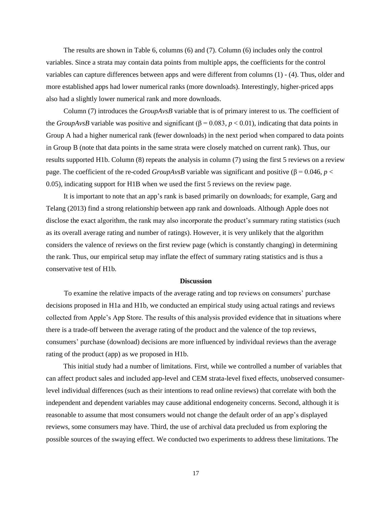The results are shown in Table 6, columns (6) and (7). Column (6) includes only the control variables. Since a strata may contain data points from multiple apps, the coefficients for the control variables can capture differences between apps and were different from columns (1) - (4). Thus, older and more established apps had lower numerical ranks (more downloads). Interestingly, higher-priced apps also had a slightly lower numerical rank and more downloads.

Column (7) introduces the *GroupAvsB* variable that is of primary interest to us. The coefficient of the *GroupAvsB* variable was positive and significant ( $\beta$  = 0.083, *p* < 0.01), indicating that data points in Group A had a higher numerical rank (fewer downloads) in the next period when compared to data points in Group B (note that data points in the same strata were closely matched on current rank). Thus, our results supported H1b. Column (8) repeats the analysis in column (7) using the first 5 reviews on a review page. The coefficient of the re-coded *GroupAvsB* variable was significant and positive ( $\beta = 0.046$ , *p* < 0.05), indicating support for H1B when we used the first 5 reviews on the review page.

It is important to note that an app's rank is based primarily on downloads; for example, Garg and Telang (2013) find a strong relationship between app rank and downloads. Although Apple does not disclose the exact algorithm, the rank may also incorporate the product's summary rating statistics (such as its overall average rating and number of ratings). However, it is very unlikely that the algorithm considers the valence of reviews on the first review page (which is constantly changing) in determining the rank. Thus, our empirical setup may inflate the effect of summary rating statistics and is thus a conservative test of H1b.

#### **Discussion**

To examine the relative impacts of the average rating and top reviews on consumers' purchase decisions proposed in H1a and H1b, we conducted an empirical study using actual ratings and reviews collected from Apple's App Store. The results of this analysis provided evidence that in situations where there is a trade-off between the average rating of the product and the valence of the top reviews, consumers' purchase (download) decisions are more influenced by individual reviews than the average rating of the product (app) as we proposed in H1b.

This initial study had a number of limitations. First, while we controlled a number of variables that can affect product sales and included app-level and CEM strata-level fixed effects, unobserved consumerlevel individual differences (such as their intentions to read online reviews) that correlate with both the independent and dependent variables may cause additional endogeneity concerns. Second, although it is reasonable to assume that most consumers would not change the default order of an app's displayed reviews, some consumers may have. Third, the use of archival data precluded us from exploring the possible sources of the swaying effect. We conducted two experiments to address these limitations. The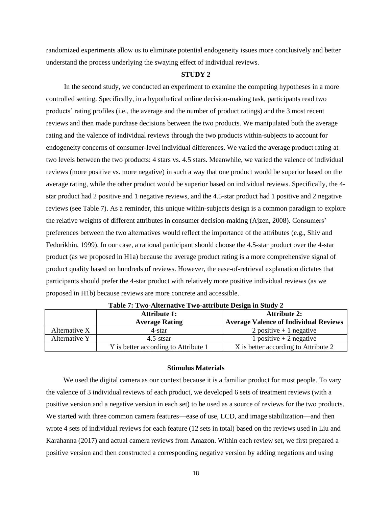randomized experiments allow us to eliminate potential endogeneity issues more conclusively and better understand the process underlying the swaying effect of individual reviews.

### **STUDY 2**

In the second study, we conducted an experiment to examine the competing hypotheses in a more controlled setting. Specifically, in a hypothetical online decision-making task, participants read two products' rating profiles (i.e., the average and the number of product ratings) and the 3 most recent reviews and then made purchase decisions between the two products. We manipulated both the average rating and the valence of individual reviews through the two products within-subjects to account for endogeneity concerns of consumer-level individual differences. We varied the average product rating at two levels between the two products: 4 stars vs. 4.5 stars. Meanwhile, we varied the valence of individual reviews (more positive vs. more negative) in such a way that one product would be superior based on the average rating, while the other product would be superior based on individual reviews. Specifically, the 4 star product had 2 positive and 1 negative reviews, and the 4.5-star product had 1 positive and 2 negative reviews (see Table 7). As a reminder, this unique within-subjects design is a common paradigm to explore the relative weights of different attributes in consumer decision-making (Ajzen, 2008). Consumers' preferences between the two alternatives would reflect the importance of the attributes (e.g., Shiv and Fedorikhin, 1999). In our case, a rational participant should choose the 4.5-star product over the 4-star product (as we proposed in H1a) because the average product rating is a more comprehensive signal of product quality based on hundreds of reviews. However, the ease-of-retrieval explanation dictates that participants should prefer the 4-star product with relatively more positive individual reviews (as we proposed in H1b) because reviews are more concrete and accessible.

|                       | $-$ , $-$ , $-$ , $-$ , $-$ , $-$ , $-$ , $-$ , $-$ , $-$ , $-$ , $-$ , $-$ , $-$ , $-$ , $-$ , $-$ , $-$ , $-$ , $-$ , $-$ , $-$ , $-$ , $-$ , $-$ , $-$ , $-$ , $-$ , $-$ , $-$ , $-$ , $-$ , $-$ , $-$ , $-$ , $-$ , $-$ , |                                              |  |  |  |  |  |
|-----------------------|-------------------------------------------------------------------------------------------------------------------------------------------------------------------------------------------------------------------------------|----------------------------------------------|--|--|--|--|--|
|                       | <b>Attribute 1:</b>                                                                                                                                                                                                           | <b>Attribute 2:</b>                          |  |  |  |  |  |
| <b>Average Rating</b> |                                                                                                                                                                                                                               | <b>Average Valence of Individual Reviews</b> |  |  |  |  |  |
| Alternative X         | 4-star                                                                                                                                                                                                                        | 2 positive $+1$ negative                     |  |  |  |  |  |
| Alternative Y         | 4.5-stsar                                                                                                                                                                                                                     | 1 positive $+2$ negative                     |  |  |  |  |  |
|                       | Y is better according to Attribute 1                                                                                                                                                                                          | X is better according to Attribute 2         |  |  |  |  |  |

**Table 7: Two-Alternative Two-attribute Design in Study 2**

## **Stimulus Materials**

We used the digital camera as our context because it is a familiar product for most people. To vary the valence of 3 individual reviews of each product, we developed 6 sets of treatment reviews (with a positive version and a negative version in each set) to be used as a source of reviews for the two products. We started with three common camera features—ease of use, LCD, and image stabilization—and then wrote 4 sets of individual reviews for each feature (12 sets in total) based on the reviews used in Liu and Karahanna (2017) and actual camera reviews from Amazon. Within each review set, we first prepared a positive version and then constructed a corresponding negative version by adding negations and using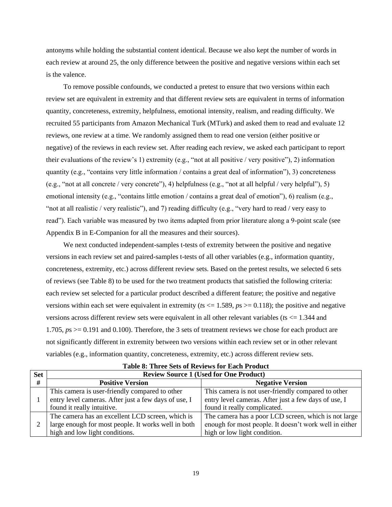antonyms while holding the substantial content identical. Because we also kept the number of words in each review at around 25, the only difference between the positive and negative versions within each set is the valence.

To remove possible confounds, we conducted a pretest to ensure that two versions within each review set are equivalent in extremity and that different review sets are equivalent in terms of information quantity, concreteness, extremity, helpfulness, emotional intensity, realism, and reading difficulty. We recruited 55 participants from Amazon Mechanical Turk (MTurk) and asked them to read and evaluate 12 reviews, one review at a time. We randomly assigned them to read one version (either positive or negative) of the reviews in each review set. After reading each review, we asked each participant to report their evaluations of the review's 1) extremity (e.g., "not at all positive / very positive"), 2) information quantity (e.g., "contains very little information / contains a great deal of information"), 3) concreteness (e.g., "not at all concrete / very concrete"), 4) helpfulness (e.g., "not at all helpful / very helpful"), 5) emotional intensity (e.g., "contains little emotion / contains a great deal of emotion"), 6) realism (e.g., "not at all realistic / very realistic"), and 7) reading difficulty (e.g., "very hard to read / very easy to read"). Each variable was measured by two items adapted from prior literature along a 9-point scale (see Appendix B in E-Companion for all the measures and their sources).

We next conducted independent-samples t-tests of extremity between the positive and negative versions in each review set and paired-samples t-tests of all other variables (e.g., information quantity, concreteness, extremity, etc.) across different review sets. Based on the pretest results, we selected 6 sets of reviews (see Table 8) to be used for the two treatment products that satisfied the following criteria: each review set selected for a particular product described a different feature; the positive and negative versions within each set were equivalent in extremity ( $ts \le 1.589$ ,  $ps \ge 0.118$ ); the positive and negative versions across different review sets were equivalent in all other relevant variables (*t*s <= 1.344 and 1.705, *p*s >= 0.191 and 0.100). Therefore, the 3 sets of treatment reviews we chose for each product are not significantly different in extremity between two versions within each review set or in other relevant variables (e.g., information quantity, concreteness, extremity, etc.) across different review sets.

| <b>Set</b> | <b>Review Source 1 (Used for One Product)</b>        |                                                        |  |  |  |  |
|------------|------------------------------------------------------|--------------------------------------------------------|--|--|--|--|
| #          | <b>Positive Version</b>                              | <b>Negative Version</b>                                |  |  |  |  |
|            | This camera is user-friendly compared to other       | This camera is not user-friendly compared to other     |  |  |  |  |
|            | entry level cameras. After just a few days of use, I | entry level cameras. After just a few days of use, I   |  |  |  |  |
|            | found it really intuitive.                           | found it really complicated.                           |  |  |  |  |
|            | The camera has an excellent LCD screen, which is     | The camera has a poor LCD screen, which is not large   |  |  |  |  |
|            | large enough for most people. It works well in both  | enough for most people. It doesn't work well in either |  |  |  |  |
|            | high and low light conditions.                       | high or low light condition.                           |  |  |  |  |

**Table 8: Three Sets of Reviews for Each Product**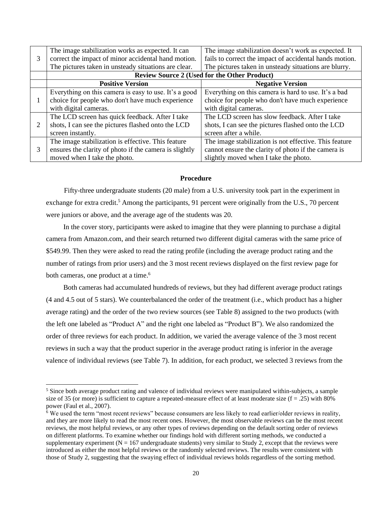|   | The image stabilization works as expected. It can      | The image stabilization doesn't work as expected. It    |
|---|--------------------------------------------------------|---------------------------------------------------------|
| 3 | correct the impact of minor accidental hand motion.    | fails to correct the impact of accidental hands motion. |
|   | The pictures taken in unsteady situations are clear.   | The pictures taken in unsteady situations are blurry.   |
|   |                                                        | <b>Review Source 2 (Used for the Other Product)</b>     |
|   | <b>Positive Version</b>                                | <b>Negative Version</b>                                 |
|   | Everything on this camera is easy to use. It's a good  | Everything on this camera is hard to use. It's a bad    |
|   | choice for people who don't have much experience       | choice for people who don't have much experience        |
|   | with digital cameras.                                  | with digital cameras.                                   |
|   | The LCD screen has quick feedback. After I take        | The LCD screen has slow feedback. After I take          |
| 2 | shots, I can see the pictures flashed onto the LCD     | shots, I can see the pictures flashed onto the LCD      |
|   | screen instantly.                                      | screen after a while.                                   |
|   | The image stabilization is effective. This feature     | The image stabilization is not effective. This feature  |
| 3 | ensures the clarity of photo if the camera is slightly | cannot ensure the clarity of photo if the camera is     |
|   | moved when I take the photo.                           | slightly moved when I take the photo.                   |

#### **Procedure**

Fifty-three undergraduate students (20 male) from a U.S. university took part in the experiment in exchange for extra credit.<sup>5</sup> Among the participants, 91 percent were originally from the U.S., 70 percent were juniors or above, and the average age of the students was 20.

In the cover story, participants were asked to imagine that they were planning to purchase a digital camera from Amazon.com, and their search returned two different digital cameras with the same price of \$549.99. Then they were asked to read the rating profile (including the average product rating and the number of ratings from prior users) and the 3 most recent reviews displayed on the first review page for both cameras, one product at a time. 6

Both cameras had accumulated hundreds of reviews, but they had different average product ratings (4 and 4.5 out of 5 stars). We counterbalanced the order of the treatment (i.e., which product has a higher average rating) and the order of the two review sources (see Table 8) assigned to the two products (with the left one labeled as "Product A" and the right one labeled as "Product B"). We also randomized the order of three reviews for each product. In addition, we varied the average valence of the 3 most recent reviews in such a way that the product superior in the average product rating is inferior in the average valence of individual reviews (see Table 7). In addition, for each product, we selected 3 reviews from the

<sup>&</sup>lt;sup>5</sup> Since both average product rating and valence of individual reviews were manipulated within-subjects, a sample size of 35 (or more) is sufficient to capture a repeated-measure effect of at least moderate size  $(f = .25)$  with 80% power (Faul et al., 2007).

<sup>6</sup> We used the term "most recent reviews" because consumers are less likely to read earlier/older reviews in reality, and they are more likely to read the most recent ones. However, the most observable reviews can be the most recent reviews, the most helpful reviews, or any other types of reviews depending on the default sorting order of reviews on different platforms. To examine whether our findings hold with different sorting methods, we conducted a supplementary experiment ( $N = 167$  undergraduate students) very similar to Study 2, except that the reviews were introduced as either the most helpful reviews or the randomly selected reviews. The results were consistent with those of Study 2, suggesting that the swaying effect of individual reviews holds regardless of the sorting method.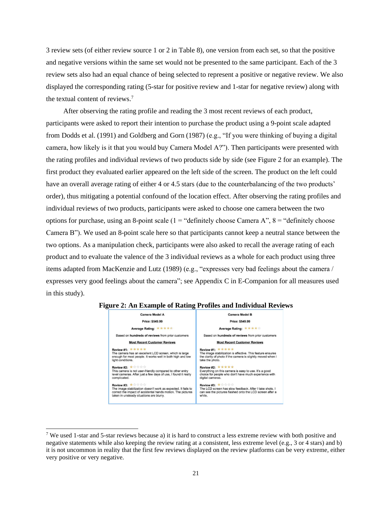3 review sets (of either review source 1 or 2 in Table 8), one version from each set, so that the positive and negative versions within the same set would not be presented to the same participant. Each of the 3 review sets also had an equal chance of being selected to represent a positive or negative review. We also displayed the corresponding rating (5-star for positive review and 1-star for negative review) along with the textual content of reviews.<sup>7</sup>

After observing the rating profile and reading the 3 most recent reviews of each product, participants were asked to report their intention to purchase the product using a 9-point scale adapted from Dodds et al. (1991) and Goldberg and Gorn (1987) (e.g., "If you were thinking of buying a digital camera, how likely is it that you would buy Camera Model A?"). Then participants were presented with the rating profiles and individual reviews of two products side by side (see Figure 2 for an example). The first product they evaluated earlier appeared on the left side of the screen. The product on the left could have an overall average rating of either 4 or 4.5 stars (due to the counterbalancing of the two products' order), thus mitigating a potential confound of the location effect. After observing the rating profiles and individual reviews of two products, participants were asked to choose one camera between the two options for purchase, using an 8-point scale  $(1 - "definitely choose Camera A", 8 - "definitely choose$ Camera B"). We used an 8-point scale here so that participants cannot keep a neutral stance between the two options. As a manipulation check, participants were also asked to recall the average rating of each product and to evaluate the valence of the 3 individual reviews as a whole for each product using three items adapted from MacKenzie and Lutz (1989) (e.g., "expresses very bad feelings about the camera / expresses very good feelings about the camera"; see Appendix C in E-Companion for all measures used in this study).



#### **Figure 2: An Example of Rating Profiles and Individual Reviews**

<sup>&</sup>lt;sup>7</sup> We used 1-star and 5-star reviews because a) it is hard to construct a less extreme review with both positive and negative statements while also keeping the review rating at a consistent, less extreme level (e.g., 3 or 4 stars) and b) it is not uncommon in reality that the first few reviews displayed on the review platforms can be very extreme, either very positive or very negative.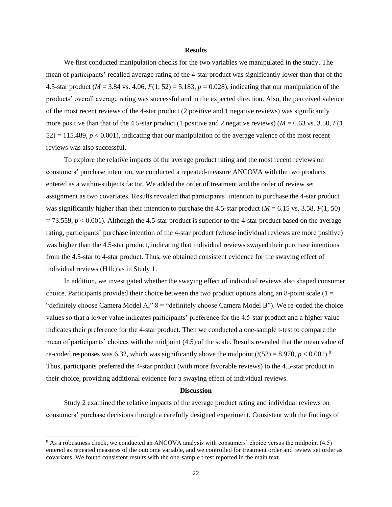#### **Results**

We first conducted manipulation checks for the two variables we manipulated in the study. The mean of participants' recalled average rating of the 4-star product was significantly lower than that of the 4.5-star product (*M* = 3.84 vs. 4.06, *F*(1, 52) = 5.183, *p* = 0.028), indicating that our manipulation of the products' overall average rating was successful and in the expected direction. Also, the perceived valence of the most recent reviews of the 4-star product (2 positive and 1 negative reviews) was significantly more positive than that of the 4.5-star product (1 positive and 2 negative reviews) ( $M = 6.63$  vs. 3.50,  $F(1, 1)$  $52$ ) = 115.489,  $p < 0.001$ ), indicating that our manipulation of the average valence of the most recent reviews was also successful.

To explore the relative impacts of the average product rating and the most recent reviews on consumers' purchase intention, we conducted a repeated-measure ANCOVA with the two products entered as a within-subjects factor. We added the order of treatment and the order of review set assignment as two covariates. Results revealed that participants' intention to purchase the 4-star product was significantly higher than their intention to purchase the 4.5-star product ( $M = 6.15$  vs. 3.58,  $F(1, 50)$ )  $= 73.559, p < 0.001$ ). Although the 4.5-star product is superior to the 4-star product based on the average rating, participants' purchase intention of the 4-star product (whose individual reviews are more positive) was higher than the 4.5-star product, indicating that individual reviews swayed their purchase intentions from the 4.5-star to 4-star product. Thus, we obtained consistent evidence for the swaying effect of individual reviews (H1b) as in Study 1.

In addition, we investigated whether the swaying effect of individual reviews also shaped consumer choice. Participants provided their choice between the two product options along an 8-point scale ( $1 =$ "definitely choose Camera Model A,"  $8 =$  "definitely choose Camera Model B"). We re-coded the choice values so that a lower value indicates participants' preference for the 4.5-star product and a higher value indicates their preference for the 4-star product. Then we conducted a one-sample t-test to compare the mean of participants' choices with the midpoint (4.5) of the scale. Results revealed that the mean value of re-coded responses was 6.32, which was significantly above the midpoint  $(t(52) = 8.970, p < 0.001)$ .<sup>8</sup> Thus, participants preferred the 4-star product (with more favorable reviews) to the 4.5-star product in their choice, providing additional evidence for a swaying effect of individual reviews.

## **Discussion**

Study 2 examined the relative impacts of the average product rating and individual reviews on consumers' purchase decisions through a carefully designed experiment. Consistent with the findings of

<sup>&</sup>lt;sup>8</sup> As a robustness check, we conducted an ANCOVA analysis with consumers' choice versus the midpoint (4.5) entered as repeated measures of the outcome variable, and we controlled for treatment order and review set order as covariates. We found consistent results with the one-sample t-test reported in the main text.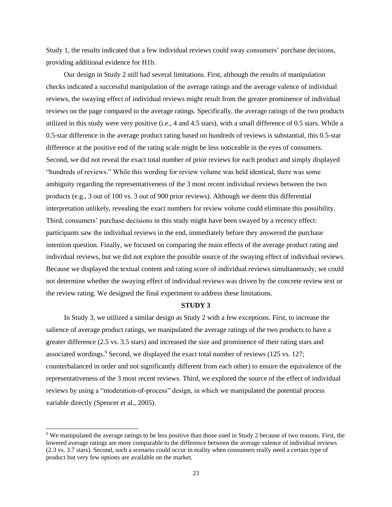Study 1, the results indicated that a few individual reviews could sway consumers' purchase decisions, providing additional evidence for H1b.

Our design in Study 2 still had several limitations. First, although the results of manipulation checks indicated a successful manipulation of the average ratings and the average valence of individual reviews, the swaying effect of individual reviews might result from the greater prominence of individual reviews on the page compared to the average ratings. Specifically, the average ratings of the two products utilized in this study were very positive (i.e., 4 and 4.5 stars), with a small difference of 0.5 stars. While a 0.5-star difference in the average product rating based on hundreds of reviews is substantial, this 0.5-star difference at the positive end of the rating scale might be less noticeable in the eyes of consumers. Second, we did not reveal the exact total number of prior reviews for each product and simply displayed "hundreds of reviews." While this wording for review volume was held identical, there was some ambiguity regarding the representativeness of the 3 most recent individual reviews between the two products (e.g., 3 out of 100 vs. 3 out of 900 prior reviews). Although we deem this differential interpretation unlikely, revealing the exact numbers for review volume could eliminate this possibility. Third, consumers' purchase decisions in this study might have been swayed by a recency effect: participants saw the individual reviews in the end, immediately before they answered the purchase intention question. Finally, we focused on comparing the main effects of the average product rating and individual reviews, but we did not explore the possible source of the swaying effect of individual reviews. Because we displayed the textual content and rating score of individual reviews simultaneously, we could not determine whether the swaying effect of individual reviews was driven by the concrete review text or the review rating. We designed the final experiment to address these limitations.

## **STUDY 3**

In Study 3, we utilized a similar design as Study 2 with a few exceptions. First, to increase the salience of average product ratings, we manipulated the average ratings of the two products to have a greater difference (2.5 vs. 3.5 stars) and increased the size and prominence of their rating stars and associated wordings.<sup>9</sup> Second, we displayed the exact total number of reviews (125 vs. 127; counterbalanced in order and not significantly different from each other) to ensure the equivalence of the representativeness of the 3 most recent reviews. Third, we explored the source of the effect of individual reviews by using a "moderation-of-process" design, in which we manipulated the potential process variable directly (Spencer et al., 2005).

<sup>9</sup> We manipulated the average ratings to be less positive than those used in Study 2 because of two reasons. First, the lowered average ratings are more comparable to the difference between the average valence of individual reviews (2.3 vs. 3.7 stars). Second, such a scenario could occur in reality when consumers really need a certain type of product but very few options are available on the market.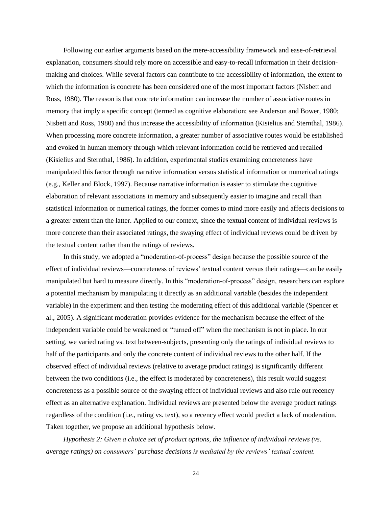Following our earlier arguments based on the mere-accessibility framework and ease-of-retrieval explanation, consumers should rely more on accessible and easy-to-recall information in their decisionmaking and choices. While several factors can contribute to the accessibility of information, the extent to which the information is concrete has been considered one of the most important factors (Nisbett and Ross, 1980). The reason is that concrete information can increase the number of associative routes in memory that imply a specific concept (termed as cognitive elaboration; see Anderson and Bower, 1980; Nisbett and Ross, 1980) and thus increase the accessibility of information (Kisielius and Sternthal, 1986). When processing more concrete information, a greater number of associative routes would be established and evoked in human memory through which relevant information could be retrieved and recalled (Kisielius and Sternthal, 1986). In addition, experimental studies examining concreteness have manipulated this factor through narrative information versus statistical information or numerical ratings (e.g., Keller and Block, 1997). Because narrative information is easier to stimulate the cognitive elaboration of relevant associations in memory and subsequently easier to imagine and recall than statistical information or numerical ratings, the former comes to mind more easily and affects decisions to a greater extent than the latter. Applied to our context, since the textual content of individual reviews is more concrete than their associated ratings, the swaying effect of individual reviews could be driven by the textual content rather than the ratings of reviews.

In this study, we adopted a "moderation-of-process" design because the possible source of the effect of individual reviews—concreteness of reviews' textual content versus their ratings—can be easily manipulated but hard to measure directly. In this "moderation-of-process" design, researchers can explore a potential mechanism by manipulating it directly as an additional variable (besides the independent variable) in the experiment and then testing the moderating effect of this additional variable (Spencer et al., 2005). A significant moderation provides evidence for the mechanism because the effect of the independent variable could be weakened or "turned off" when the mechanism is not in place. In our setting, we varied rating vs. text between-subjects, presenting only the ratings of individual reviews to half of the participants and only the concrete content of individual reviews to the other half. If the observed effect of individual reviews (relative to average product ratings) is significantly different between the two conditions (i.e., the effect is moderated by concreteness), this result would suggest concreteness as a possible source of the swaying effect of individual reviews and also rule out recency effect as an alternative explanation. Individual reviews are presented below the average product ratings regardless of the condition (i.e., rating vs. text), so a recency effect would predict a lack of moderation. Taken together, we propose an additional hypothesis below.

*Hypothesis 2: Given a choice set of product options, the influence of individual reviews (vs. average ratings) on consumers' purchase decisions is mediated by the reviews' textual content.*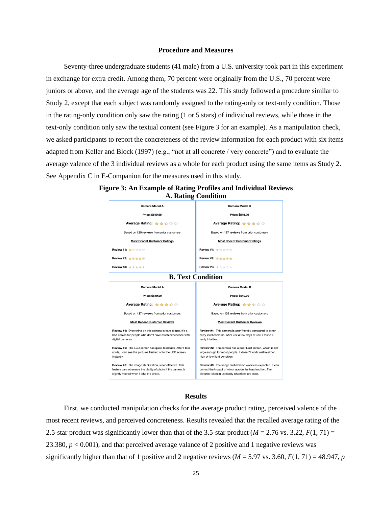#### **Procedure and Measures**

Seventy-three undergraduate students (41 male) from a U.S. university took part in this experiment in exchange for extra credit. Among them, 70 percent were originally from the U.S., 70 percent were juniors or above, and the average age of the students was 22. This study followed a procedure similar to Study 2, except that each subject was randomly assigned to the rating-only or text-only condition. Those in the rating-only condition only saw the rating (1 or 5 stars) of individual reviews, while those in the text-only condition only saw the textual content (see Figure 3 for an example). As a manipulation check, we asked participants to report the concreteness of the review information for each product with six items adapted from Keller and Block (1997) (e.g., "not at all concrete / very concrete") and to evaluate the average valence of the 3 individual reviews as a whole for each product using the same items as Study 2. See Appendix C in E-Companion for the measures used in this study.



## **Figure 3: An Example of Rating Profiles and Individual Reviews A. Rating Condition**

## **Results**

First, we conducted manipulation checks for the average product rating, perceived valence of the most recent reviews, and perceived concreteness. Results revealed that the recalled average rating of the 2.5-star product was significantly lower than that of the 3.5-star product ( $M = 2.76$  vs. 3.22,  $F(1, 71) =$ 23.380, *p* < 0.001), and that perceived average valance of 2 positive and 1 negative reviews was significantly higher than that of 1 positive and 2 negative reviews ( $M = 5.97$  vs. 3.60,  $F(1, 71) = 48.947$ , *p*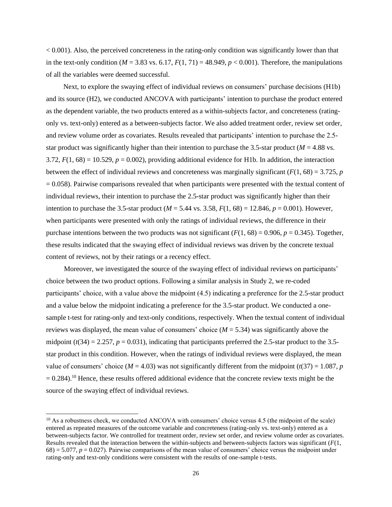$< 0.001$ ). Also, the perceived concreteness in the rating-only condition was significantly lower than that in the text-only condition ( $M = 3.83$  vs. 6.17,  $F(1, 71) = 48.949$ ,  $p < 0.001$ ). Therefore, the manipulations of all the variables were deemed successful.

Next, to explore the swaying effect of individual reviews on consumers' purchase decisions (H1b) and its source (H2), we conducted ANCOVA with participants' intention to purchase the product entered as the dependent variable, the two products entered as a within-subjects factor, and concreteness (ratingonly vs. text-only) entered as a between-subjects factor. We also added treatment order, review set order, and review volume order as covariates. Results revealed that participants' intention to purchase the 2.5 star product was significantly higher than their intention to purchase the 3.5-star product ( $M = 4.88$  vs. 3.72,  $F(1, 68) = 10.529$ ,  $p = 0.002$ ), providing additional evidence for H1b. In addition, the interaction between the effect of individual reviews and concreteness was marginally significant  $(F(1, 68) = 3.725, p$  $= 0.058$ ). Pairwise comparisons revealed that when participants were presented with the textual content of individual reviews, their intention to purchase the 2.5-star product was significantly higher than their intention to purchase the 3.5-star product ( $M = 5.44$  vs. 3.58,  $F(1, 68) = 12.846$ ,  $p = 0.001$ ). However, when participants were presented with only the ratings of individual reviews, the difference in their purchase intentions between the two products was not significant  $(F(1, 68) = 0.906, p = 0.345)$ . Together, these results indicated that the swaying effect of individual reviews was driven by the concrete textual content of reviews, not by their ratings or a recency effect.

Moreover, we investigated the source of the swaying effect of individual reviews on participants' choice between the two product options. Following a similar analysis in Study 2, we re-coded participants' choice, with a value above the midpoint (4.5) indicating a preference for the 2.5-star product and a value below the midpoint indicating a preference for the 3.5-star product. We conducted a onesample t-test for rating-only and text-only conditions, respectively. When the textual content of individual reviews was displayed, the mean value of consumers' choice  $(M = 5.34)$  was significantly above the midpoint  $(t(34) = 2.257, p = 0.031)$ , indicating that participants preferred the 2.5-star product to the 3.5star product in this condition. However, when the ratings of individual reviews were displayed, the mean value of consumers' choice ( $M = 4.03$ ) was not significantly different from the midpoint ( $t(37) = 1.087$ , *p*  $= 0.284$ ).<sup>10</sup> Hence, these results offered additional evidence that the concrete review texts might be the source of the swaying effect of individual reviews.

 $10$  As a robustness check, we conducted ANCOVA with consumers' choice versus 4.5 (the midpoint of the scale) entered as repeated measures of the outcome variable and concreteness (rating-only vs. text-only) entered as a between-subjects factor. We controlled for treatment order, review set order, and review volume order as covariates. Results revealed that the interaction between the within-subjects and between-subjects factors was significant (*F*(1, 68) = 5.077, *p* = 0.027). Pairwise comparisons of the mean value of consumers' choice versus the midpoint under rating-only and text-only conditions were consistent with the results of one-sample t-tests.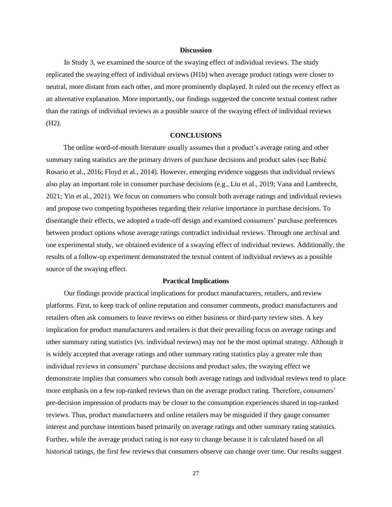#### **Discussion**

In Study 3, we examined the source of the swaying effect of individual reviews. The study replicated the swaying effect of individual reviews (H1b) when average product ratings were closer to neutral, more distant from each other, and more prominently displayed. It ruled out the recency effect as an alternative explanation. More importantly, our findings suggested the concrete textual content rather than the ratings of individual reviews as a possible source of the swaying effect of individual reviews (H2).

#### **CONCLUSIONS**

The online word-of-mouth literature usually assumes that a product's average rating and other summary rating statistics are the primary drivers of purchase decisions and product sales (see Babić Rosario et al., 2016; Floyd et al., 2014). However, emerging evidence suggests that individual reviews also play an important role in consumer purchase decisions (e.g., Liu et al., 2019; Vana and Lambrecht, 2021; Yin et al., 2021). We focus on consumers who consult both average ratings and individual reviews and propose two competing hypotheses regarding their *relative* importance in purchase decisions. To disentangle their effects, we adopted a trade-off design and examined consumers' purchase preferences between product options whose average ratings contradict individual reviews. Through one archival and one experimental study, we obtained evidence of a swaying effect of individual reviews. Additionally, the results of a follow-up experiment demonstrated the textual content of individual reviews as a possible source of the swaying effect.

#### **Practical Implications**

Our findings provide practical implications for product manufacturers, retailers, and review platforms. First, to keep track of online reputation and consumer comments, product manufacturers and retailers often ask consumers to leave reviews on either business or third-party review sites. A key implication for product manufacturers and retailers is that their prevailing focus on average ratings and other summary rating statistics (vs. individual reviews) may not be the most optimal strategy. Although it is widely accepted that average ratings and other summary rating statistics play a greater role than individual reviews in consumers' purchase decisions and product sales, the swaying effect we demonstrate implies that consumers who consult both average ratings and individual reviews tend to place more emphasis on a few top-ranked reviews than on the average product rating. Therefore, consumers' pre-decision impression of products may be closer to the consumption experiences shared in top-ranked reviews. Thus, product manufacturers and online retailers may be misguided if they gauge consumer interest and purchase intentions based primarily on average ratings and other summary rating statistics. Further, while the average product rating is not easy to change because it is calculated based on all historical ratings, the first few reviews that consumers observe can change over time. Our results suggest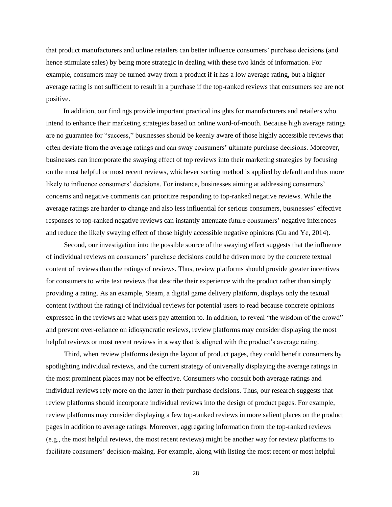that product manufacturers and online retailers can better influence consumers' purchase decisions (and hence stimulate sales) by being more strategic in dealing with these two kinds of information. For example, consumers may be turned away from a product if it has a low average rating, but a higher average rating is not sufficient to result in a purchase if the top-ranked reviews that consumers see are not positive.

In addition, our findings provide important practical insights for manufacturers and retailers who intend to enhance their marketing strategies based on online word-of-mouth. Because high average ratings are no guarantee for "success," businesses should be keenly aware of those highly accessible reviews that often deviate from the average ratings and can sway consumers' ultimate purchase decisions. Moreover, businesses can incorporate the swaying effect of top reviews into their marketing strategies by focusing on the most helpful or most recent reviews, whichever sorting method is applied by default and thus more likely to influence consumers' decisions. For instance, businesses aiming at addressing consumers' concerns and negative comments can prioritize responding to top-ranked negative reviews. While the average ratings are harder to change and also less influential for serious consumers, businesses' effective responses to top-ranked negative reviews can instantly attenuate future consumers' negative inferences and reduce the likely swaying effect of those highly accessible negative opinions (Gu and Ye, 2014).

Second, our investigation into the possible source of the swaying effect suggests that the influence of individual reviews on consumers' purchase decisions could be driven more by the concrete textual content of reviews than the ratings of reviews. Thus, review platforms should provide greater incentives for consumers to write text reviews that describe their experience with the product rather than simply providing a rating. As an example, Steam, a digital game delivery platform, displays only the textual content (without the rating) of individual reviews for potential users to read because concrete opinions expressed in the reviews are what users pay attention to. In addition, to reveal "the wisdom of the crowd" and prevent over-reliance on idiosyncratic reviews, review platforms may consider displaying the most helpful reviews or most recent reviews in a way that is aligned with the product's average rating.

Third, when review platforms design the layout of product pages, they could benefit consumers by spotlighting individual reviews, and the current strategy of universally displaying the average ratings in the most prominent places may not be effective. Consumers who consult both average ratings and individual reviews rely more on the latter in their purchase decisions. Thus, our research suggests that review platforms should incorporate individual reviews into the design of product pages. For example, review platforms may consider displaying a few top-ranked reviews in more salient places on the product pages in addition to average ratings. Moreover, aggregating information from the top-ranked reviews (e.g., the most helpful reviews, the most recent reviews) might be another way for review platforms to facilitate consumers' decision-making. For example, along with listing the most recent or most helpful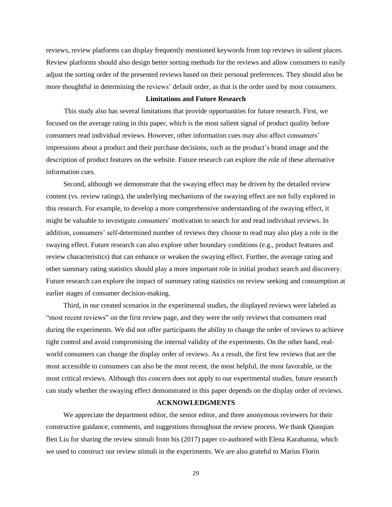reviews, review platforms can display frequently mentioned keywords from top reviews in salient places. Review platforms should also design better sorting methods for the reviews and allow consumers to easily adjust the sorting order of the presented reviews based on their personal preferences. They should also be more thoughtful in determining the reviews' default order, as that is the order used by most consumers.

## **Limitations and Future Research**

This study also has several limitations that provide opportunities for future research. First, we focused on the average rating in this paper, which is the most salient signal of product quality before consumers read individual reviews. However, other information cues may also affect consumers' impressions about a product and their purchase decisions, such as the product's brand image and the description of product features on the website. Future research can explore the role of these alternative information cues.

Second, although we demonstrate that the swaying effect may be driven by the detailed review content (vs. review ratings), the underlying mechanisms of the swaying effect are not fully explored in this research. For example, to develop a more comprehensive understanding of the swaying effect, it might be valuable to investigate consumers' motivation to search for and read individual reviews. In addition, consumers' self-determined number of reviews they choose to read may also play a role in the swaying effect. Future research can also explore other boundary conditions (e.g., product features and review characteristics) that can enhance or weaken the swaying effect. Further, the average rating and other summary rating statistics should play a more important role in initial product search and discovery. Future research can explore the impact of summary rating statistics on review seeking and consumption at earlier stages of consumer decision-making.

Third, in our created scenarios in the experimental studies, the displayed reviews were labeled as "most recent reviews" on the first review page, and they were the only reviews that consumers read during the experiments. We did not offer participants the ability to change the order of reviews to achieve tight control and avoid compromising the internal validity of the experiments. On the other hand, realworld consumers can change the display order of reviews. As a result, the first few reviews that are the most accessible to consumers can also be the most recent, the most helpful, the most favorable, or the most critical reviews. Although this concern does not apply to our experimental studies, future research can study whether the swaying effect demonstrated in this paper depends on the display order of reviews.

## **ACKNOWLEDGMENTS**

We appreciate the department editor, the senior editor, and three anonymous reviewers for their constructive guidance, comments, and suggestions throughout the review process. We thank Qianqian Ben Liu for sharing the review stimuli from his (2017) paper co-authored with Elena Karahanna, which we used to construct our review stimuli in the experiments. We are also grateful to Marius Florin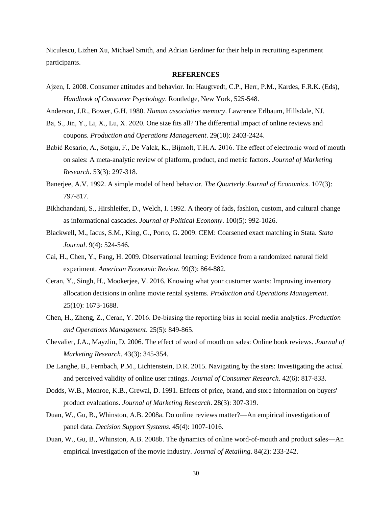Niculescu, Lizhen Xu, Michael Smith, and Adrian Gardiner for their help in recruiting experiment participants.

#### **REFERENCES**

Ajzen, I. 2008. Consumer attitudes and behavior. In: Haugtvedt, C.P., Herr, P.M., Kardes, F.R.K. (Eds), *Handbook of Consumer Psychology*. Routledge, New York, 525-548.

Anderson, J.R., Bower, G.H. 1980. *Human associative memory*. Lawrence Erlbaum, Hillsdale, NJ.

- Ba, S., Jin, Y., Li, X., Lu, X. 2020. One size fits all? The differential impact of online reviews and coupons. *Production and Operations Management*. 29(10): 2403-2424.
- Babić Rosario, A., Sotgiu, F., De Valck, K., Bijmolt, T.H.A. 2016. The effect of electronic word of mouth on sales: A meta-analytic review of platform, product, and metric factors. *Journal of Marketing Research*. 53(3): 297-318.
- Banerjee, A.V. 1992. A simple model of herd behavior. *The Quarterly Journal of Economics*. 107(3): 797-817.
- Bikhchandani, S., Hirshleifer, D., Welch, I. 1992. A theory of fads, fashion, custom, and cultural change as informational cascades. *Journal of Political Economy*. 100(5): 992-1026.
- Blackwell, M., Iacus, S.M., King, G., Porro, G. 2009. CEM: Coarsened exact matching in Stata. *Stata Journal*. 9(4): 524-546.
- Cai, H., Chen, Y., Fang, H. 2009. Observational learning: Evidence from a randomized natural field experiment. *American Economic Review*. 99(3): 864-882.
- Ceran, Y., Singh, H., Mookerjee, V. 2016. Knowing what your customer wants: Improving inventory allocation decisions in online movie rental systems. *Production and Operations Management*. 25(10): 1673-1688.
- Chen, H., Zheng, Z., Ceran, Y. 2016. De‐biasing the reporting bias in social media analytics. *Production and Operations Management*. 25(5): 849-865.
- Chevalier, J.A., Mayzlin, D. 2006. The effect of word of mouth on sales: Online book reviews. *Journal of Marketing Research*. 43(3): 345-354.
- De Langhe, B., Fernbach, P.M., Lichtenstein, D.R. 2015. Navigating by the stars: Investigating the actual and perceived validity of online user ratings. *Journal of Consumer Research*. 42(6): 817-833.
- Dodds, W.B., Monroe, K.B., Grewal, D. 1991. Effects of price, brand, and store information on buyers' product evaluations. *Journal of Marketing Research*. 28(3): 307-319.
- Duan, W., Gu, B., Whinston, A.B. 2008a. Do online reviews matter?—An empirical investigation of panel data. *Decision Support Systems*. 45(4): 1007-1016.
- Duan, W., Gu, B., Whinston, A.B. 2008b. The dynamics of online word-of-mouth and product sales—An empirical investigation of the movie industry. *Journal of Retailing*. 84(2): 233-242.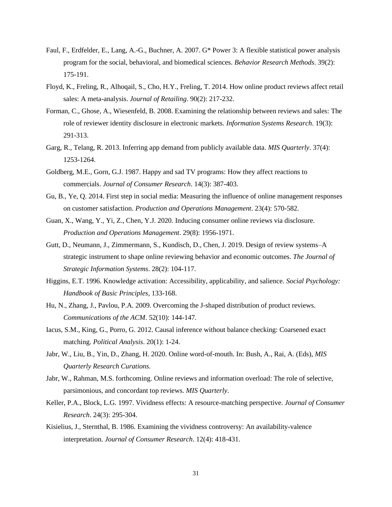- Faul, F., Erdfelder, E., Lang, A.-G., Buchner, A. 2007. G\* Power 3: A flexible statistical power analysis program for the social, behavioral, and biomedical sciences. *Behavior Research Methods*. 39(2): 175-191.
- Floyd, K., Freling, R., Alhoqail, S., Cho, H.Y., Freling, T. 2014. How online product reviews affect retail sales: A meta-analysis. *Journal of Retailing*. 90(2): 217-232.
- Forman, C., Ghose, A., Wiesenfeld, B. 2008. Examining the relationship between reviews and sales: The role of reviewer identity disclosure in electronic markets. *Information Systems Research*. 19(3): 291-313.
- Garg, R., Telang, R. 2013. Inferring app demand from publicly available data. *MIS Quarterly*. 37(4): 1253-1264.
- Goldberg, M.E., Gorn, G.J. 1987. Happy and sad TV programs: How they affect reactions to commercials. *Journal of Consumer Research*. 14(3): 387-403.
- Gu, B., Ye, Q. 2014. First step in social media: Measuring the influence of online management responses on customer satisfaction. *Production and Operations Management*. 23(4): 570-582.
- Guan, X., Wang, Y., Yi, Z., Chen, Y.J. 2020. Inducing consumer online reviews via disclosure. *Production and Operations Management*. 29(8): 1956-1971.
- Gutt, D., Neumann, J., Zimmermann, S., Kundisch, D., Chen, J. 2019. Design of review systems–A strategic instrument to shape online reviewing behavior and economic outcomes. *The Journal of Strategic Information Systems*. 28(2): 104-117.
- Higgins, E.T. 1996. Knowledge activation: Accessibility, applicability, and salience. *Social Psychology: Handbook of Basic Principles*, 133-168.
- Hu, N., Zhang, J., Pavlou, P.A. 2009. Overcoming the J-shaped distribution of product reviews. *Communications of the ACM*. 52(10): 144-147.
- Iacus, S.M., King, G., Porro, G. 2012. Causal inference without balance checking: Coarsened exact matching. *Political Analysis*. 20(1): 1-24.
- Jabr, W., Liu, B., Yin, D., Zhang, H. 2020. Online word-of-mouth. In: Bush, A., Rai, A. (Eds), *MIS Quarterly Research Curations*.
- Jabr, W., Rahman, M.S. forthcoming. Online reviews and information overload: The role of selective, parsimonious, and concordant top reviews. *MIS Quarterly*.
- Keller, P.A., Block, L.G. 1997. Vividness effects: A resource-matching perspective. *Journal of Consumer Research*. 24(3): 295-304.
- Kisielius, J., Sternthal, B. 1986. Examining the vividness controversy: An availability-valence interpretation. *Journal of Consumer Research*. 12(4): 418-431.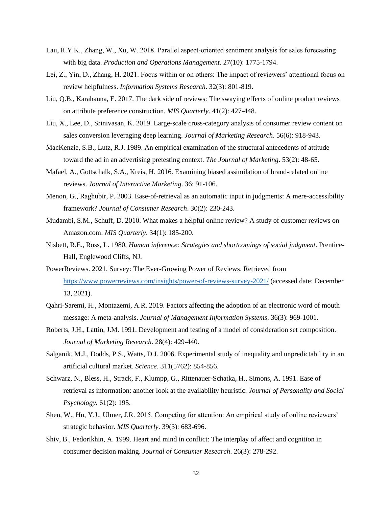- Lau, R.Y.K., Zhang, W., Xu, W. 2018. Parallel aspect-oriented sentiment analysis for sales forecasting with big data. *Production and Operations Management*. 27(10): 1775-1794.
- Lei, Z., Yin, D., Zhang, H. 2021. Focus within or on others: The impact of reviewers' attentional focus on review helpfulness. *Information Systems Research*. 32(3): 801-819.
- Liu, Q.B., Karahanna, E. 2017. The dark side of reviews: The swaying effects of online product reviews on attribute preference construction. *MIS Quarterly*. 41(2): 427-448.
- Liu, X., Lee, D., Srinivasan, K. 2019. Large-scale cross-category analysis of consumer review content on sales conversion leveraging deep learning. *Journal of Marketing Research*. 56(6): 918-943.
- MacKenzie, S.B., Lutz, R.J. 1989. An empirical examination of the structural antecedents of attitude toward the ad in an advertising pretesting context. *The Journal of Marketing*. 53(2): 48-65.
- Mafael, A., Gottschalk, S.A., Kreis, H. 2016. Examining biased assimilation of brand-related online reviews. *Journal of Interactive Marketing*. 36: 91-106.
- Menon, G., Raghubir, P. 2003. Ease-of-retrieval as an automatic input in judgments: A mere-accessibility framework? *Journal of Consumer Research*. 30(2): 230-243.
- Mudambi, S.M., Schuff, D. 2010. What makes a helpful online review? A study of customer reviews on Amazon.com. *MIS Quarterly*. 34(1): 185-200.
- Nisbett, R.E., Ross, L. 1980. *Human inference: Strategies and shortcomings of social judgment*. Prentice-Hall, Englewood Cliffs, NJ.
- PowerReviews. 2021. Survey: The Ever-Growing Power of Reviews. Retrieved from <https://www.powerreviews.com/insights/power-of-reviews-survey-2021/> (accessed date: December 13, 2021).
- Qahri-Saremi, H., Montazemi, A.R. 2019. Factors affecting the adoption of an electronic word of mouth message: A meta-analysis. *Journal of Management Information Systems*. 36(3): 969-1001.
- Roberts, J.H., Lattin, J.M. 1991. Development and testing of a model of consideration set composition. *Journal of Marketing Research*. 28(4): 429-440.
- Salganik, M.J., Dodds, P.S., Watts, D.J. 2006. Experimental study of inequality and unpredictability in an artificial cultural market. *Science*. 311(5762): 854-856.
- Schwarz, N., Bless, H., Strack, F., Klumpp, G., Rittenauer-Schatka, H., Simons, A. 1991. Ease of retrieval as information: another look at the availability heuristic. *Journal of Personality and Social Psychology*. 61(2): 195.
- Shen, W., Hu, Y.J., Ulmer, J.R. 2015. Competing for attention: An empirical study of online reviewers' strategic behavior. *MIS Quarterly*. 39(3): 683-696.
- Shiv, B., Fedorikhin, A. 1999. Heart and mind in conflict: The interplay of affect and cognition in consumer decision making. *Journal of Consumer Research*. 26(3): 278-292.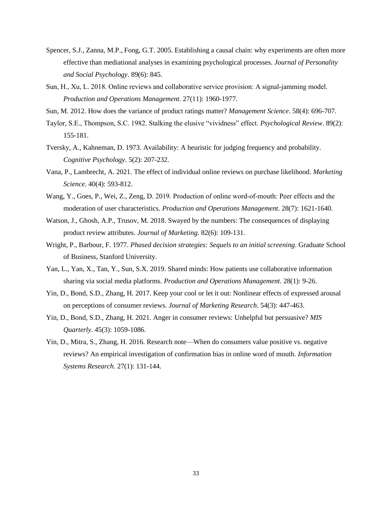- Spencer, S.J., Zanna, M.P., Fong, G.T. 2005. Establishing a causal chain: why experiments are often more effective than mediational analyses in examining psychological processes. *Journal of Personality and Social Psychology*. 89(6): 845.
- Sun, H., Xu, L. 2018. Online reviews and collaborative service provision: A signal‐jamming model. *Production and Operations Management*. 27(11): 1960-1977.
- Sun, M. 2012. How does the variance of product ratings matter? *Management Science*. 58(4): 696-707.
- Taylor, S.E., Thompson, S.C. 1982. Stalking the elusive "vividness" effect. *Psychological Review*. 89(2): 155-181.
- Tversky, A., Kahneman, D. 1973. Availability: A heuristic for judging frequency and probability. *Cognitive Psychology*. 5(2): 207-232.
- Vana, P., Lambrecht, A. 2021. The effect of individual online reviews on purchase likelihood. *Marketing Science*. 40(4): 593-812.
- Wang, Y., Goes, P., Wei, Z., Zeng, D. 2019. Production of online word-of-mouth: Peer effects and the moderation of user characteristics. *Production and Operations Management*. 28(7): 1621-1640.
- Watson, J., Ghosh, A.P., Trusov, M. 2018. Swayed by the numbers: The consequences of displaying product review attributes. *Journal of Marketing*. 82(6): 109-131.
- Wright, P., Barbour, F. 1977. *Phased decision strategies: Sequels to an initial screening*. Graduate School of Business, Stanford University.
- Yan, L., Yan, X., Tan, Y., Sun, S.X. 2019. Shared minds: How patients use collaborative information sharing via social media platforms. *Production and Operations Management*. 28(1): 9-26.
- Yin, D., Bond, S.D., Zhang, H. 2017. Keep your cool or let it out: Nonlinear effects of expressed arousal on perceptions of consumer reviews. *Journal of Marketing Research*. 54(3): 447-463.
- Yin, D., Bond, S.D., Zhang, H. 2021. Anger in consumer reviews: Unhelpful but persuasive? *MIS Quarterly*. 45(3): 1059-1086.
- Yin, D., Mitra, S., Zhang, H. 2016. Research note—When do consumers value positive vs. negative reviews? An empirical investigation of confirmation bias in online word of mouth. *Information Systems Research*. 27(1): 131-144.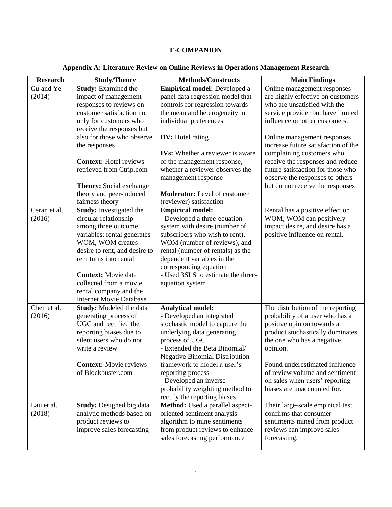# **E-COMPANION**

# **Appendix A: Literature Review on Online Reviews in Operations Management Research**

| <b>Research</b> | <b>Study/Theory</b>                        | <b>Methods/Constructs</b>                                       | <b>Main Findings</b>                                       |
|-----------------|--------------------------------------------|-----------------------------------------------------------------|------------------------------------------------------------|
| Gu and Ye       | <b>Study:</b> Examined the                 | Empirical model: Developed a                                    | Online management responses                                |
| (2014)          | impact of management                       | panel data regression model that                                | are highly effective on customers                          |
|                 | responses to reviews on                    | controls for regression towards                                 | who are unsatisfied with the                               |
|                 | customer satisfaction not                  | the mean and heterogeneity in                                   | service provider but have limited                          |
|                 | only for customers who                     | individual preferences                                          | influence on other customers.                              |
|                 | receive the responses but                  |                                                                 |                                                            |
|                 | also for those who observe                 | <b>DV:</b> Hotel rating                                         | Online management responses                                |
|                 | the responses                              |                                                                 | increase future satisfaction of the                        |
|                 |                                            | <b>IVs:</b> Whether a reviewer is aware                         | complaining customers who                                  |
|                 | <b>Context:</b> Hotel reviews              | of the management response,                                     | receive the responses and reduce                           |
|                 | retrieved from Ctrip.com                   | whether a reviewer observes the                                 | future satisfaction for those who                          |
|                 |                                            | management response                                             | observe the responses to others                            |
|                 | <b>Theory:</b> Social exchange             |                                                                 | but do not receive the responses.                          |
|                 | theory and peer-induced<br>fairness theory | <b>Moderator:</b> Level of customer<br>(reviewer) satisfaction  |                                                            |
| Ceran et al.    | <b>Study:</b> Investigated the             | <b>Empirical model:</b>                                         |                                                            |
| (2016)          | circular relationship                      | - Developed a three-equation                                    | Rental has a positive effect on<br>WOM, WOM can positively |
|                 | among three outcome                        | system with desire (number of                                   | impact desire, and desire has a                            |
|                 | variables: rental generates                | subscribers who wish to rent),                                  | positive influence on rental.                              |
|                 | WOM, WOM creates                           | WOM (number of reviews), and                                    |                                                            |
|                 | desire to rent, and desire to              | rental (number of rentals) as the                               |                                                            |
|                 | rent turns into rental                     | dependent variables in the                                      |                                                            |
|                 |                                            | corresponding equation                                          |                                                            |
|                 | <b>Context:</b> Movie data                 | - Used 3SLS to estimate the three-                              |                                                            |
|                 | collected from a movie                     | equation system                                                 |                                                            |
|                 | rental company and the                     |                                                                 |                                                            |
|                 | <b>Internet Movie Database</b>             |                                                                 |                                                            |
| Chen et al.     | <b>Study:</b> Modeled the data             | <b>Analytical model:</b>                                        | The distribution of the reporting                          |
| (2016)          | generating process of                      | - Developed an integrated                                       | probability of a user who has a                            |
|                 | UGC and rectified the                      | stochastic model to capture the                                 | positive opinion towards a                                 |
|                 | reporting biases due to                    | underlying data generating                                      | product stochastically dominates                           |
|                 | silent users who do not                    | process of UGC                                                  | the one who has a negative                                 |
|                 | write a review                             | - Extended the Beta Binomial/                                   | opinion.                                                   |
|                 |                                            | <b>Negative Binomial Distribution</b>                           |                                                            |
|                 | <b>Context:</b> Movie reviews              | framework to model a user's                                     | Found underestimated influence                             |
|                 | of Blockbuster.com                         | reporting process                                               | of review volume and sentiment                             |
|                 |                                            | - Developed an inverse                                          | on sales when users' reporting                             |
|                 |                                            | probability weighting method to<br>rectify the reporting biases | biases are unaccounted for.                                |
| Lau et al.      | <b>Study:</b> Designed big data            | Method: Used a parallel aspect-                                 | Their large-scale empirical test                           |
| (2018)          | analytic methods based on                  | oriented sentiment analysis                                     | confirms that consumer                                     |
|                 | product reviews to                         | algorithm to mine sentiments                                    | sentiments mined from product                              |
|                 | improve sales forecasting                  | from product reviews to enhance                                 | reviews can improve sales                                  |
|                 |                                            | sales forecasting performance                                   | forecasting.                                               |
|                 |                                            |                                                                 |                                                            |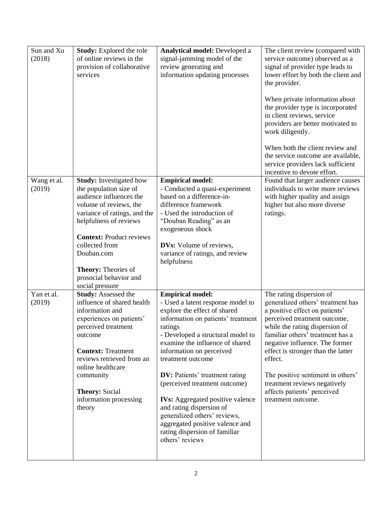| Sun and Xu<br>(2018)  | <b>Study:</b> Explored the role<br>of online reviews in the<br>provision of collaborative<br>services                                                                                                                                                                                                                 | <b>Analytical model:</b> Developed a<br>signal-jamming model of the<br>review generating and<br>information updating processes                                                                                                                                                                                                                                                                                                                                                                                                                 | The client review (compared with<br>service outcome) observed as a<br>signal of provider type leads to<br>lower effort by both the client and<br>the provider.<br>When private information about<br>the provider type is incorporated<br>in client reviews, service<br>providers are better motivated to<br>work diligently.<br>When both the client review and<br>the service outcome are available,<br>service providers lack sufficient<br>incentive to devote effort. |
|-----------------------|-----------------------------------------------------------------------------------------------------------------------------------------------------------------------------------------------------------------------------------------------------------------------------------------------------------------------|------------------------------------------------------------------------------------------------------------------------------------------------------------------------------------------------------------------------------------------------------------------------------------------------------------------------------------------------------------------------------------------------------------------------------------------------------------------------------------------------------------------------------------------------|---------------------------------------------------------------------------------------------------------------------------------------------------------------------------------------------------------------------------------------------------------------------------------------------------------------------------------------------------------------------------------------------------------------------------------------------------------------------------|
| Wang et al.<br>(2019) | <b>Study:</b> Investigated how<br>the population size of<br>audience influences the<br>volume of reviews, the<br>variance of ratings, and the<br>helpfulness of reviews<br><b>Context: Product reviews</b><br>collected from<br>Douban.com<br>Theory: Theories of<br>prosocial behavior and                           | <b>Empirical model:</b><br>- Conducted a quasi-experiment<br>based on a difference-in-<br>difference framework<br>- Used the introduction of<br>"Douban Reading" as an<br>exogeneous shock<br><b>DVs:</b> Volume of reviews,<br>variance of ratings, and review<br>helpfulness                                                                                                                                                                                                                                                                 | Found that larger audience causes<br>individuals to write more reviews<br>with higher quality and assign<br>higher but also more diverse<br>ratings.                                                                                                                                                                                                                                                                                                                      |
| Yan et al.<br>(2019)  | social pressure<br><b>Study: Assessed the</b><br>influence of shared health<br>information and<br>experiences on patients'<br>perceived treatment<br>outcome<br><b>Context: Treatment</b><br>reviews retrieved from an<br>online healthcare<br>community<br><b>Theory: Social</b><br>information processing<br>theory | <b>Empirical model:</b><br>- Used a latent response model to<br>explore the effect of shared<br>information on patients' treatment<br>ratings<br>- Developed a structural model to<br>examine the influence of shared<br>information on perceived<br>treatment outcome<br><b>DV:</b> Patients' treatment rating<br>(perceived treatment outcome)<br><b>IVs:</b> Aggregated positive valence<br>and rating dispersion of<br>generalized others' reviews,<br>aggregated positive valence and<br>rating dispersion of familiar<br>others' reviews | The rating dispersion of<br>generalized others' treatment has<br>a positive effect on patients'<br>perceived treatment outcome,<br>while the rating dispersion of<br>familiar others' treatment has a<br>negative influence. The former<br>effect is stronger than the latter<br>effect.<br>The positive sentiment in others'<br>treatment reviews negatively<br>affects patients' perceived<br>treatment outcome.                                                        |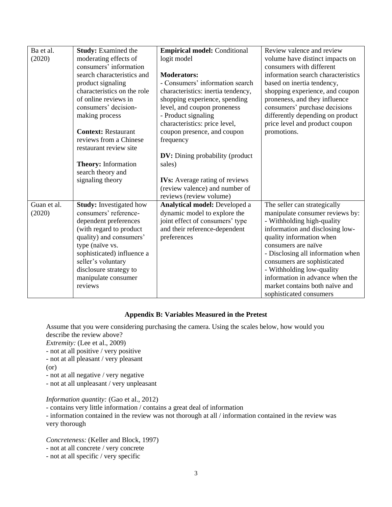| Ba et al.   | <b>Study:</b> Examined the     | <b>Empirical model:</b> Conditional    | Review valence and review          |
|-------------|--------------------------------|----------------------------------------|------------------------------------|
| (2020)      | moderating effects of          | logit model                            | volume have distinct impacts on    |
|             | consumers' information         |                                        | consumers with different           |
|             | search characteristics and     | <b>Moderators:</b>                     | information search characteristics |
|             | product signaling              | - Consumers' information search        | based on inertia tendency,         |
|             | characteristics on the role    | characteristics: inertia tendency,     | shopping experience, and coupon    |
|             | of online reviews in           | shopping experience, spending          | proneness, and they influence      |
|             | consumers' decision-           | level, and coupon proneness            | consumers' purchase decisions      |
|             | making process                 | - Product signaling                    | differently depending on product   |
|             |                                | characteristics: price level,          | price level and product coupon     |
|             | <b>Context: Restaurant</b>     | coupon presence, and coupon            | promotions.                        |
|             | reviews from a Chinese         | frequency                              |                                    |
|             | restaurant review site         |                                        |                                    |
|             |                                | <b>DV:</b> Dining probability (product |                                    |
|             | <b>Theory:</b> Information     | sales)                                 |                                    |
|             | search theory and              |                                        |                                    |
|             | signaling theory               | <b>IVs:</b> Average rating of reviews  |                                    |
|             |                                | (review valence) and number of         |                                    |
|             |                                | reviews (review volume)                |                                    |
| Guan et al. | <b>Study:</b> Investigated how | Analytical model: Developed a          | The seller can strategically       |
| (2020)      | consumers' reference-          | dynamic model to explore the           | manipulate consumer reviews by:    |
|             | dependent preferences          | joint effect of consumers' type        | - Withholding high-quality         |
|             | (with regard to product        | and their reference-dependent          | information and disclosing low-    |
|             | quality) and consumers'        | preferences                            | quality information when           |
|             | type (naïve vs.                |                                        | consumers are naïve                |
|             | sophisticated) influence a     |                                        | - Disclosing all information when  |
|             | seller's voluntary             |                                        | consumers are sophisticated        |
|             | disclosure strategy to         |                                        | - Withholding low-quality          |
|             | manipulate consumer            |                                        | information in advance when the    |
|             | reviews                        |                                        | market contains both naïve and     |
|             |                                |                                        | sophisticated consumers            |

# **Appendix B: Variables Measured in the Pretest**

Assume that you were considering purchasing the camera. Using the scales below, how would you describe the review above?

*Extremity:* (Lee et al., 2009)

- not at all positive / very positive
- not at all pleasant / very pleasant
- (or)
- not at all negative / very negative
- not at all unpleasant / very unpleasant

# *Information quantity:* (Gao et al., 2012)

- contains very little information / contains a great deal of information

- information contained in the review was not thorough at all / information contained in the review was very thorough

*Concreteness:* (Keller and Block, 1997)

- not at all concrete / very concrete
- not at all specific / very specific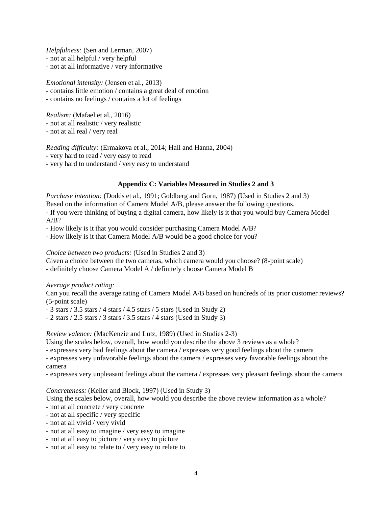*Helpfulness:* (Sen and Lerman, 2007) - not at all helpful / very helpful - not at all informative / very informative

*Emotional intensity:* (Jensen et al., 2013)

- contains little emotion / contains a great deal of emotion

- contains no feelings / contains a lot of feelings

*Realism:* (Mafael et al., 2016) - not at all realistic / very realistic - not at all real / very real

*Reading difficulty:* (Ermakova et al., 2014; Hall and Hanna, 2004) - very hard to read / very easy to read

- very hard to understand / very easy to understand

# **Appendix C: Variables Measured in Studies 2 and 3**

*Purchase intention:* (Dodds et al., 1991; Goldberg and Gorn, 1987) (Used in Studies 2 and 3) Based on the information of Camera Model A/B, please answer the following questions. - If you were thinking of buying a digital camera, how likely is it that you would buy Camera Model  $A/B?$ 

- How likely is it that you would consider purchasing Camera Model A/B?

- How likely is it that Camera Model A/B would be a good choice for you?

*Choice between two products:* (Used in Studies 2 and 3)

Given a choice between the two cameras, which camera would you choose? (8-point scale)

- definitely choose Camera Model A / definitely choose Camera Model B

*Average product rating:*

Can you recall the average rating of Camera Model A/B based on hundreds of its prior customer reviews? (5-point scale)

- 3 stars / 3.5 stars / 4 stars / 4.5 stars / 5 stars (Used in Study 2)

 $-$  2 stars / 2.5 stars / 3 stars / 3.5 stars / 4 stars (Used in Study 3)

*Review valence:* (MacKenzie and Lutz, 1989) (Used in Studies 2-3)

Using the scales below, overall, how would you describe the above 3 reviews as a whole?

- expresses very bad feelings about the camera / expresses very good feelings about the camera

- expresses very unfavorable feelings about the camera / expresses very favorable feelings about the camera

- expresses very unpleasant feelings about the camera / expresses very pleasant feelings about the camera

*Concreteness:* (Keller and Block, 1997) (Used in Study 3)

Using the scales below, overall, how would you describe the above review information as a whole?

- not at all concrete / very concrete
- not at all specific / very specific
- not at all vivid / very vivid
- not at all easy to imagine / very easy to imagine
- not at all easy to picture / very easy to picture
- not at all easy to relate to / very easy to relate to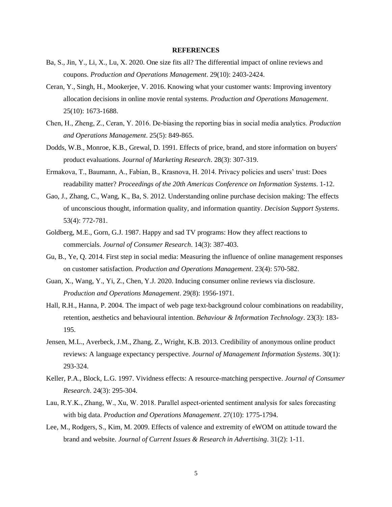#### **REFERENCES**

- Ba, S., Jin, Y., Li, X., Lu, X. 2020. One size fits all? The differential impact of online reviews and coupons. *Production and Operations Management*. 29(10): 2403-2424.
- Ceran, Y., Singh, H., Mookerjee, V. 2016. Knowing what your customer wants: Improving inventory allocation decisions in online movie rental systems. *Production and Operations Management*. 25(10): 1673-1688.
- Chen, H., Zheng, Z., Ceran, Y. 2016. De‐biasing the reporting bias in social media analytics. *Production and Operations Management*. 25(5): 849-865.
- Dodds, W.B., Monroe, K.B., Grewal, D. 1991. Effects of price, brand, and store information on buyers' product evaluations. *Journal of Marketing Research*. 28(3): 307-319.
- Ermakova, T., Baumann, A., Fabian, B., Krasnova, H. 2014. Privacy policies and users' trust: Does readability matter? *Proceedings of the 20th Americas Conference on Information Systems*. 1-12.
- Gao, J., Zhang, C., Wang, K., Ba, S. 2012. Understanding online purchase decision making: The effects of unconscious thought, information quality, and information quantity. *Decision Support Systems*. 53(4): 772-781.
- Goldberg, M.E., Gorn, G.J. 1987. Happy and sad TV programs: How they affect reactions to commercials. *Journal of Consumer Research*. 14(3): 387-403.
- Gu, B., Ye, Q. 2014. First step in social media: Measuring the influence of online management responses on customer satisfaction. *Production and Operations Management*. 23(4): 570-582.
- Guan, X., Wang, Y., Yi, Z., Chen, Y.J. 2020. Inducing consumer online reviews via disclosure. *Production and Operations Management*. 29(8): 1956-1971.
- Hall, R.H., Hanna, P. 2004. The impact of web page text-background colour combinations on readability, retention, aesthetics and behavioural intention. *Behaviour & Information Technology*. 23(3): 183- 195.
- Jensen, M.L., Averbeck, J.M., Zhang, Z., Wright, K.B. 2013. Credibility of anonymous online product reviews: A language expectancy perspective. *Journal of Management Information Systems*. 30(1): 293-324.
- Keller, P.A., Block, L.G. 1997. Vividness effects: A resource-matching perspective. *Journal of Consumer Research*. 24(3): 295-304.
- Lau, R.Y.K., Zhang, W., Xu, W. 2018. Parallel aspect-oriented sentiment analysis for sales forecasting with big data. *Production and Operations Management*. 27(10): 1775-1794.
- Lee, M., Rodgers, S., Kim, M. 2009. Effects of valence and extremity of eWOM on attitude toward the brand and website. *Journal of Current Issues & Research in Advertising*. 31(2): 1-11.